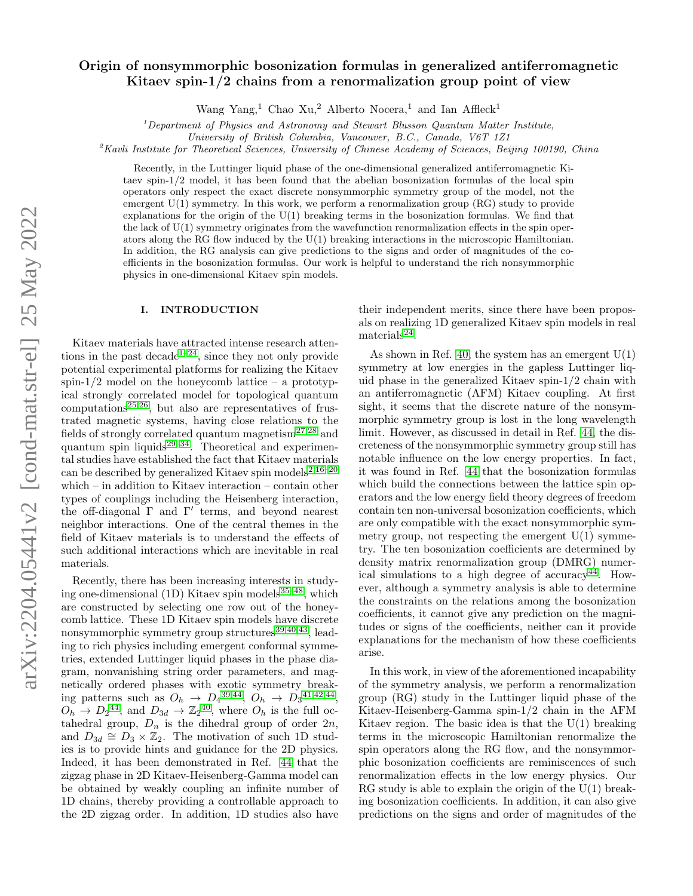# $arXiv:2204.05441v2$  [cond-mat.str-el] 25 May 2022 arXiv:2204.05441v2 [cond-mat.str-el] 25 May 2022

# Origin of nonsymmorphic bosonization formulas in generalized antiferromagnetic Kitaev spin- $1/2$  chains from a renormalization group point of view

Wang Yang,<sup>1</sup> Chao Xu,<sup>2</sup> Alberto Nocera,<sup>1</sup> and Ian Affleck<sup>1</sup>

 $1$  Department of Physics and Astronomy and Stewart Blusson Quantum Matter Institute,

University of British Columbia, Vancouver, B.C., Canada, V6T 1Z1

<sup>2</sup>Kavli Institute for Theoretical Sciences, University of Chinese Academy of Sciences, Beijing 100190, China

Recently, in the Luttinger liquid phase of the one-dimensional generalized antiferromagnetic Kitaev spin-1/2 model, it has been found that the abelian bosonization formulas of the local spin operators only respect the exact discrete nonsymmorphic symmetry group of the model, not the emergent U(1) symmetry. In this work, we perform a renormalization group (RG) study to provide explanations for the origin of the  $U(1)$  breaking terms in the bosonization formulas. We find that the lack of  $U(1)$  symmetry originates from the wavefunction renormalization effects in the spin operators along the RG flow induced by the U(1) breaking interactions in the microscopic Hamiltonian. In addition, the RG analysis can give predictions to the signs and order of magnitudes of the coefficients in the bosonization formulas. Our work is helpful to understand the rich nonsymmorphic physics in one-dimensional Kitaev spin models.

# I. INTRODUCTION

Kitaev materials have attracted intense research atten-tions in the past decade<sup>[1](#page-18-0)[–24](#page-18-1)</sup>, since they not only provide potential experimental platforms for realizing the Kitaev spin- $1/2$  model on the honeycomb lattice – a prototypical strongly correlated model for topological quantum  $computations<sup>25,26</sup>$  $computations<sup>25,26</sup>$  $computations<sup>25,26</sup>$  $computations<sup>25,26</sup>$ , but also are representatives of frustrated magnetic systems, having close relations to the fields of strongly correlated quantum magnetism<sup>[27,](#page-18-4)[28](#page-18-5)</sup> and quantum spin liquids<sup>[29](#page-18-6)[–34](#page-18-7)</sup>. Theoretical and experimental studies have established the fact that Kitaev materials can be described by generalized Kitaev spin models<sup>[2](#page-18-8),16-[20](#page-18-10)</sup> which – in addition to Kitaev interaction – contain other types of couplings including the Heisenberg interaction, the off-diagonal  $\Gamma$  and  $\Gamma'$  terms, and beyond nearest neighbor interactions. One of the central themes in the field of Kitaev materials is to understand the effects of such additional interactions which are inevitable in real materials.

Recently, there has been increasing interests in studying one-dimensional  $(1D)$  Kitaev spin models<sup>[35–](#page-18-11)[48](#page-19-0)</sup>, which are constructed by selecting one row out of the honeycomb lattice. These 1D Kitaev spin models have discrete nonsymmorphic symmetry group structures<sup>[39,](#page-18-12)[40,](#page-18-13)[43](#page-18-14)</sup>, leading to rich physics including emergent conformal symmetries, extended Luttinger liquid phases in the phase diagram, nonvanishing string order parameters, and magnetically ordered phases with exotic symmetry breaking patterns such as  $O_h \to D_4^{39,44}, O_h \to D_3^{41,42,44},$  $O_h \to D_4^{39,44}, O_h \to D_3^{41,42,44},$  $O_h \to D_4^{39,44}, O_h \to D_3^{41,42,44},$  $O_h \to D_4^{39,44}, O_h \to D_3^{41,42,44},$  $O_h \to D_4^{39,44}, O_h \to D_3^{41,42,44},$  $O_h \to D_4^{39,44}, O_h \to D_3^{41,42,44},$  $O_h \to D_4^{39,44}, O_h \to D_3^{41,42,44},$  $O_h \to D_2^{44}$  $O_h \to D_2^{44}$  $O_h \to D_2^{44}$ , and  $D_{3d} \to \mathbb{Z}_2^{40}$  $D_{3d} \to \mathbb{Z}_2^{40}$  $D_{3d} \to \mathbb{Z}_2^{40}$ , where  $O_h$  is the full octahedral group,  $D_n$  is the dihedral group of order  $2n$ , and  $D_{3d} \cong D_3 \times \mathbb{Z}_2$ . The motivation of such 1D studies is to provide hints and guidance for the 2D physics. Indeed, it has been demonstrated in Ref. [44](#page-18-15) that the zigzag phase in 2D Kitaev-Heisenberg-Gamma model can be obtained by weakly coupling an infinite number of 1D chains, thereby providing a controllable approach to the 2D zigzag order. In addition, 1D studies also have their independent merits, since there have been proposals on realizing 1D generalized Kitaev spin models in real  $\text{materials}^{24}.$  $\text{materials}^{24}.$  $\text{materials}^{24}.$ 

As shown in Ref. [40,](#page-18-13) the system has an emergent  $U(1)$ symmetry at low energies in the gapless Luttinger liquid phase in the generalized Kitaev spin-1/2 chain with an antiferromagnetic (AFM) Kitaev coupling. At first sight, it seems that the discrete nature of the nonsymmorphic symmetry group is lost in the long wavelength limit. However, as discussed in detail in Ref. [44,](#page-18-15) the discreteness of the nonsymmorphic symmetry group still has notable influence on the low energy properties. In fact, it was found in Ref. [44](#page-18-15) that the bosonization formulas which build the connections between the lattice spin operators and the low energy field theory degrees of freedom contain ten non-universal bosonization coefficients, which are only compatible with the exact nonsymmorphic symmetry group, not respecting the emergent  $U(1)$  symmetry. The ten bosonization coefficients are determined by density matrix renormalization group (DMRG) numer-ical simulations to a high degree of accuracy<sup>[44](#page-18-15)</sup>. However, although a symmetry analysis is able to determine the constraints on the relations among the bosonization coefficients, it cannot give any prediction on the magnitudes or signs of the coefficients, neither can it provide explanations for the mechanism of how these coefficients arise.

In this work, in view of the aforementioned incapability of the symmetry analysis, we perform a renormalization group (RG) study in the Luttinger liquid phase of the Kitaev-Heisenberg-Gamma spin-1/2 chain in the AFM Kitaev region. The basic idea is that the  $U(1)$  breaking terms in the microscopic Hamiltonian renormalize the spin operators along the RG flow, and the nonsymmorphic bosonization coefficients are reminiscences of such renormalization effects in the low energy physics. Our RG study is able to explain the origin of the  $U(1)$  breaking bosonization coefficients. In addition, it can also give predictions on the signs and order of magnitudes of the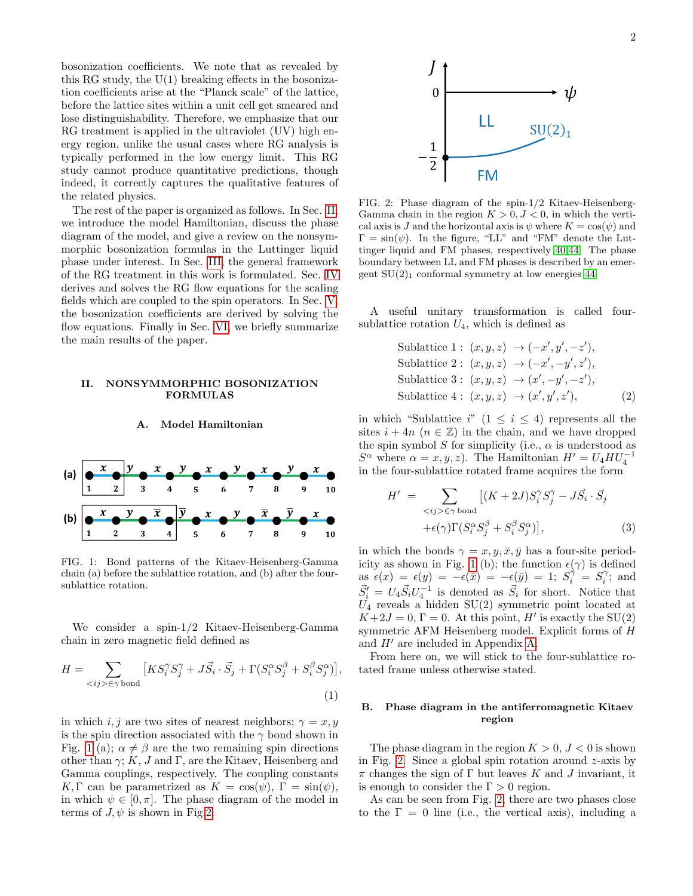bosonization coefficients. We note that as revealed by this RG study, the  $U(1)$  breaking effects in the bosonization coefficients arise at the "Planck scale" of the lattice, before the lattice sites within a unit cell get smeared and lose distinguishability. Therefore, we emphasize that our RG treatment is applied in the ultraviolet (UV) high energy region, unlike the usual cases where RG analysis is typically performed in the low energy limit. This RG study cannot produce quantitative predictions, though indeed, it correctly captures the qualitative features of the related physics.

The rest of the paper is organized as follows. In Sec. [II,](#page-1-0) we introduce the model Hamiltonian, discuss the phase diagram of the model, and give a review on the nonsymmorphic bosonization formulas in the Luttinger liquid phase under interest. In Sec. [III,](#page-2-0) the general framework of the RG treatment in this work is formulated. Sec. [IV](#page-5-0) derives and solves the RG flow equations for the scaling fields which are coupled to the spin operators. In Sec. [V,](#page-8-0) the bosonization coefficients are derived by solving the flow equations. Finally in Sec. [VI,](#page-10-0) we briefly summarize the main results of the paper.

# <span id="page-1-0"></span>II. NONSYMMORPHIC BOSONIZATION FORMULAS

### A. Model Hamiltonian



<span id="page-1-1"></span>FIG. 1: Bond patterns of the Kitaev-Heisenberg-Gamma chain (a) before the sublattice rotation, and (b) after the foursublattice rotation.

We consider a spin-1/2 Kitaev-Heisenberg-Gamma chain in zero magnetic field defined as

$$
H = \sum_{\langle ij \rangle \in \gamma \text{ bond}} \left[ K S_i^{\gamma} S_j^{\gamma} + J \vec{S}_i \cdot \vec{S}_j + \Gamma (S_i^{\alpha} S_j^{\beta} + S_i^{\beta} S_j^{\alpha}) \right],
$$
\n(1)

in which i, j are two sites of nearest neighbors;  $\gamma = x, y$ is the spin direction associated with the  $\gamma$  bond shown in Fig. [1](#page-1-1) (a);  $\alpha \neq \beta$  are the two remaining spin directions other than  $\gamma$ ; K, J and Γ, are the Kitaev, Heisenberg and Gamma couplings, respectively. The coupling constants K, Γ can be parametrized as  $K = \cos(\psi)$ , Γ =  $\sin(\psi)$ , in which  $\psi \in [0, \pi]$ . The phase diagram of the model in terms of  $J, \psi$  is shown in Fig[.2.](#page-1-2)



<span id="page-1-2"></span>FIG. 2: Phase diagram of the spin-1/2 Kitaev-Heisenberg-Gamma chain in the region  $K > 0, J < 0$ , in which the vertical axis is J and the horizontal axis is  $\psi$  where  $K = \cos(\psi)$  and  $\Gamma = \sin(\psi)$ . In the figure, "LL" and "FM" denote the Luttinger liquid and FM phases, respectively [40](#page-18-13)[,44.](#page-18-15) The phase boundary between LL and FM phases is described by an emergent  $SU(2)_1$  conformal symmetry at low energies [44.](#page-18-15)

A useful unitary transformation is called foursublattice rotation  $U_4$ , which is defined as

Sublattice 1: 
$$
(x, y, z) \rightarrow (-x', y', -z')
$$
,  
\nSublattice 2:  $(x, y, z) \rightarrow (-x', -y', z')$ ,  
\nSublattice 3:  $(x, y, z) \rightarrow (x', -y', -z')$ ,  
\nSublattice 4:  $(x, y, z) \rightarrow (x', y', z')$ , (2)

in which "Sublattice i"  $(1 \leq i \leq 4)$  represents all the sites  $i + 4n$   $(n \in \mathbb{Z})$  in the chain, and we have dropped the spin symbol S for simplicity (i.e.,  $\alpha$  is understood as  $S^{\alpha}$  where  $\alpha = x, y, z$ ). The Hamiltonian  $H' = U_4 H U_4^{-1}$ in the four-sublattice rotated frame acquires the form

<span id="page-1-4"></span>
$$
H' = \sum_{\langle ij \rangle \in \gamma \text{ bond}} [(K + 2J)S_i^{\gamma} S_j^{\gamma} - J\vec{S}_i \cdot \vec{S}_j
$$
  
 
$$
+ \epsilon(\gamma)\Gamma(S_i^{\alpha} S_j^{\beta} + S_i^{\beta} S_j^{\alpha})], \qquad (3)
$$

in which the bonds  $\gamma = x, y, \bar{x}, \bar{y}$  has a four-site period-icity as shown in Fig. [1](#page-1-1) (b); the function  $\epsilon(\gamma)$  is defined as  $\epsilon(x) = \epsilon(y) = -\epsilon(\bar{x}) = -\epsilon(\bar{y}) = 1; S_i^{\hat{\gamma}} = S_i^{\gamma}$ ; and  $\vec{S}'_i = U_4 \vec{S}_i U_4^{-1}$  is denoted as  $\vec{S}_i$  for short. Notice that  $U_4$  reveals a hidden SU(2) symmetric point located at  $K+2J=0, \Gamma=0.$  At this point, H' is exactly the SU(2) symmetric AFM Heisenberg model. Explicit forms of H and  $H'$  are included in Appendix [A.](#page-11-0)

From here on, we will stick to the four-sublattice rotated frame unless otherwise stated.

# <span id="page-1-3"></span>B. Phase diagram in the antiferromagnetic Kitaev region

The phase diagram in the region  $K > 0$ ,  $J < 0$  is shown in Fig. [2.](#page-1-2) Since a global spin rotation around  $z$ -axis by  $\pi$  changes the sign of Γ but leaves K and J invariant, it is enough to consider the  $\Gamma > 0$  region.

As can be seen from Fig. [2,](#page-1-2) there are two phases close to the  $\Gamma = 0$  line (i.e., the vertical axis), including a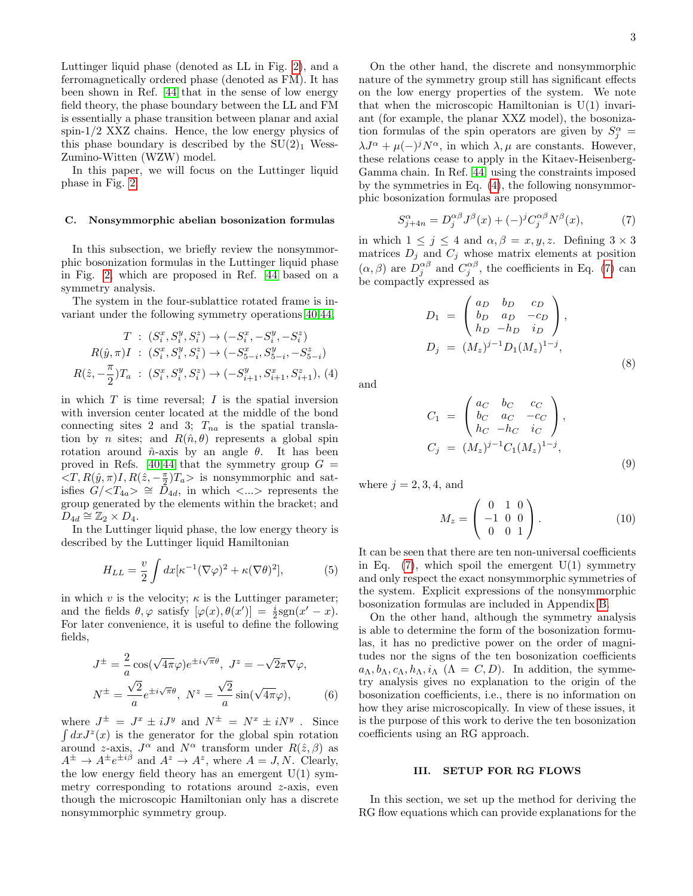Luttinger liquid phase (denoted as LL in Fig. [2\)](#page-1-2), and a ferromagnetically ordered phase (denoted as FM). It has been shown in Ref. [44](#page-18-15) that in the sense of low energy field theory, the phase boundary between the LL and FM is essentially a phase transition between planar and axial spin-1/2 XXZ chains. Hence, the low energy physics of this phase boundary is described by the  $SU(2)<sub>1</sub>$  Wess-Zumino-Witten (WZW) model.

In this paper, we will focus on the Luttinger liquid phase in Fig. [2.](#page-1-2)

### C. Nonsymmorphic abelian bosonization formulas

In this subsection, we briefly review the nonsymmorphic bosonization formulas in the Luttinger liquid phase in Fig. [2,](#page-1-2) which are proposed in Ref. [44](#page-18-15) based on a symmetry analysis.

The system in the four-sublattice rotated frame is invariant under the following symmetry operations [40,](#page-18-13)[44,](#page-18-15)

<span id="page-2-1"></span>
$$
T: (S_i^x, S_i^y, S_i^z) \to (-S_i^x, -S_i^y, -S_i^z)
$$
  
\n
$$
R(\hat{y}, \pi)I: (S_i^x, S_i^y, S_i^z) \to (-S_{5-i}^x, S_{5-i}^y, -S_{5-i}^z)
$$
  
\n
$$
R(\hat{z}, -\frac{\pi}{2})T_a: (S_i^x, S_i^y, S_i^z) \to (-S_{i+1}^y, S_{i+1}^x, S_{i+1}^z), (4)
$$

in which  $T$  is time reversal;  $I$  is the spatial inversion with inversion center located at the middle of the bond connecting sites 2 and 3;  $T_{na}$  is the spatial translation by *n* sites; and  $R(\hat{n}, \theta)$  represents a global spin rotation around  $\hat{n}$ -axis by an angle  $\theta$ . It has been proved in Refs. [40](#page-18-13)[,44](#page-18-15) that the symmetry group  $G =$  $\langle T, R(\hat{y}, \pi)I, R(\hat{z}, -\frac{\pi}{2})T_a \rangle$  is nonsymmorphic and satisfies  $G/\langle T_{4a} \rangle \cong \bar{D}_{4d}$ , in which  $\langle ... \rangle$  represents the group generated by the elements within the bracket; and  $D_{4d} \cong \mathbb{Z}_2 \times D_4.$ 

In the Luttinger liquid phase, the low energy theory is described by the Luttinger liquid Hamiltonian

$$
H_{LL} = \frac{v}{2} \int dx \left[ \kappa^{-1} (\nabla \varphi)^2 + \kappa (\nabla \theta)^2 \right],\tag{5}
$$

in which v is the velocity;  $\kappa$  is the Luttinger parameter; and the fields  $\theta, \varphi$  satisfy  $[\varphi(x), \theta(x')] = \frac{i}{2} \text{sgn}(x'-x)$ . For later convenience, it is useful to define the following fields,

$$
J^{\pm} = \frac{2}{a} \cos(\sqrt{4\pi}\varphi) e^{\pm i\sqrt{\pi}\theta}, \ J^{z} = -\sqrt{2}\pi\nabla\varphi,
$$
  

$$
N^{\pm} = \frac{\sqrt{2}}{a} e^{\pm i\sqrt{\pi}\theta}, \ N^{z} = \frac{\sqrt{2}}{a} \sin(\sqrt{4\pi}\varphi),
$$
 (6)

where  $J^{\pm} = J^x \pm iJ^y$  and  $N^{\pm} = N^x \pm iN^y$ . Since  $\int dx J^{z}(x)$  is the generator for the global spin rotation around z-axis,  $J^{\alpha}$  and  $N^{\alpha}$  transform under  $R(\hat{z}, \beta)$  as  $A^{\pm} \to A^{\pm} e^{\pm i\beta}$  and  $A^z \to A^z$ , where  $A = J, N$ . Clearly, the low energy field theory has an emergent  $U(1)$  symmetry corresponding to rotations around  $z$ -axis, even though the microscopic Hamiltonian only has a discrete nonsymmorphic symmetry group.

On the other hand, the discrete and nonsymmorphic nature of the symmetry group still has significant effects on the low energy properties of the system. We note that when the microscopic Hamiltonian is  $U(1)$  invariant (for example, the planar XXZ model), the bosonization formulas of the spin operators are given by  $S_j^{\alpha}$  =  $\lambda J^{\alpha} + \mu(-)^{j} N^{\alpha}$ , in which  $\lambda, \mu$  are constants. However, these relations cease to apply in the Kitaev-Heisenberg-Gamma chain. In Ref. [44,](#page-18-15) using the constraints imposed by the symmetries in Eq. [\(4\)](#page-2-1), the following nonsymmorphic bosonization formulas are proposed

<span id="page-2-2"></span>
$$
S_{j+4n}^{\alpha} = D_j^{\alpha\beta} J^{\beta}(x) + (-)^j C_j^{\alpha\beta} N^{\beta}(x), \qquad (7)
$$

in which  $1 \leq j \leq 4$  and  $\alpha, \beta = x, y, z$ . Defining  $3 \times 3$ matrices  $D_j$  and  $C_j$  whose matrix elements at position  $(\alpha, \beta)$  are  $D_j^{\alpha\beta}$  and  $C_j^{\alpha\beta}$ , the coefficients in Eq. [\(7\)](#page-2-2) can be compactly expressed as

$$
D_1 = \begin{pmatrix} a_D & b_D & c_D \\ b_D & a_D & -c_D \\ h_D & -h_D & i_D \end{pmatrix},
$$
  
\n
$$
D_j = (M_z)^{j-1} D_1 (M_z)^{1-j},
$$
\n(8)

and

$$
C_{1} = \begin{pmatrix} a_{C} & b_{C} & c_{C} \\ b_{C} & a_{C} & -c_{C} \\ h_{C} & -h_{C} & i_{C} \end{pmatrix},
$$
  
\n
$$
C_{j} = (M_{z})^{j-1} C_{1} (M_{z})^{1-j},
$$
\n(9)

where  $j = 2, 3, 4$ , and

$$
M_z = \left(\begin{array}{ccc} 0 & 1 & 0 \\ -1 & 0 & 0 \\ 0 & 0 & 1 \end{array}\right). \tag{10}
$$

It can be seen that there are ten non-universal coefficients in Eq.  $(7)$ , which spoil the emergent  $U(1)$  symmetry and only respect the exact nonsymmorphic symmetries of the system. Explicit expressions of the nonsymmorphic bosonization formulas are included in Appendix [B.](#page-11-1)

On the other hand, although the symmetry analysis is able to determine the form of the bosonization formulas, it has no predictive power on the order of magnitudes nor the signs of the ten bosonization coefficients  $a_{\Lambda}, b_{\Lambda}, c_{\Lambda}, h_{\Lambda}, i_{\Lambda}$  ( $\Lambda = C, D$ ). In addition, the symmetry analysis gives no explanation to the origin of the bosonization coefficients, i.e., there is no information on how they arise microscopically. In view of these issues, it is the purpose of this work to derive the ten bosonization coefficients using an RG approach.

# <span id="page-2-0"></span>III. SETUP FOR RG FLOWS

In this section, we set up the method for deriving the RG flow equations which can provide explanations for the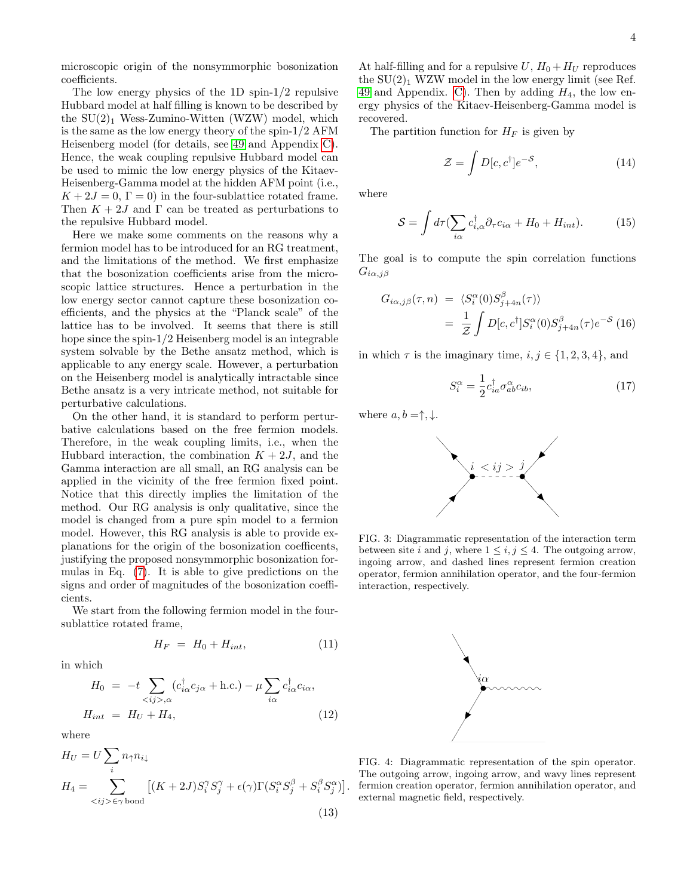microscopic origin of the nonsymmorphic bosonization coefficients.

The low energy physics of the 1D spin-1/2 repulsive Hubbard model at half filling is known to be described by the  $SU(2)<sub>1</sub>$  Wess-Zumino-Witten (WZW) model, which is the same as the low energy theory of the spin-1/2 AFM Heisenberg model (for details, see [49](#page-19-1) and Appendix [C\)](#page-11-2). Hence, the weak coupling repulsive Hubbard model can be used to mimic the low energy physics of the Kitaev-Heisenberg-Gamma model at the hidden AFM point (i.e.,  $K + 2J = 0$ ,  $\Gamma = 0$ ) in the four-sublattice rotated frame. Then  $K + 2J$  and  $\Gamma$  can be treated as perturbations to the repulsive Hubbard model.

Here we make some comments on the reasons why a fermion model has to be introduced for an RG treatment, and the limitations of the method. We first emphasize that the bosonization coefficients arise from the microscopic lattice structures. Hence a perturbation in the low energy sector cannot capture these bosonization coefficients, and the physics at the "Planck scale" of the lattice has to be involved. It seems that there is still hope since the spin- $1/2$  Heisenberg model is an integrable system solvable by the Bethe ansatz method, which is applicable to any energy scale. However, a perturbation on the Heisenberg model is analytically intractable since Bethe ansatz is a very intricate method, not suitable for perturbative calculations.

On the other hand, it is standard to perform perturbative calculations based on the free fermion models. Therefore, in the weak coupling limits, i.e., when the Hubbard interaction, the combination  $K + 2J$ , and the Gamma interaction are all small, an RG analysis can be applied in the vicinity of the free fermion fixed point. Notice that this directly implies the limitation of the method. Our RG analysis is only qualitative, since the model is changed from a pure spin model to a fermion model. However, this RG analysis is able to provide explanations for the origin of the bosonization coefficents, justifying the proposed nonsymmorphic bosonization formulas in Eq. [\(7\)](#page-2-2). It is able to give predictions on the signs and order of magnitudes of the bosonization coefficients.

We start from the following fermion model in the foursublattice rotated frame,

$$
H_F = H_0 + H_{int}, \tag{11}
$$

in which

<span id="page-3-2"></span>
$$
H_0 = -t \sum_{\langle ij \rangle, \alpha} (c_{i\alpha}^\dagger c_{j\alpha} + \text{h.c.}) - \mu \sum_{i\alpha} c_{i\alpha}^\dagger c_{i\alpha},
$$
  

$$
H_{int} = H_U + H_4,
$$
 (12)

where

$$
H_U = U \sum_i n_{\uparrow} n_{i\downarrow}
$$
  
\n
$$
H_4 = \sum_{\langle ij \rangle \in \gamma \text{ bond}} [(K + 2J)S_i^{\gamma} S_j^{\gamma} + \epsilon(\gamma) \Gamma(S_i^{\alpha} S_j^{\beta} + S_i^{\beta} S_j^{\alpha})].
$$
\n(13)

At half-filling and for a repulsive  $U$ ,  $H_0 + H_U$  reproduces the  $SU(2)_1$  WZW model in the low energy limit (see Ref. [49](#page-19-1) and Appendix. [C\)](#page-11-2). Then by adding  $H_4$ , the low energy physics of the Kitaev-Heisenberg-Gamma model is recovered.

The partition function for  $H_F$  is given by

$$
\mathcal{Z} = \int D[c, c^{\dagger}]e^{-S},\tag{14}
$$

where

$$
S = \int d\tau \left(\sum_{i\alpha} c_{i,\alpha}^{\dagger} \partial_{\tau} c_{i\alpha} + H_0 + H_{int}\right). \tag{15}
$$

The goal is to compute the spin correlation functions  $G_{i\alpha,j\beta}$ 

$$
G_{i\alpha,j\beta}(\tau,n) = \langle S_i^{\alpha}(0)S_{j+4n}^{\beta}(\tau) \rangle
$$
  
= 
$$
\frac{1}{Z} \int D[c, c^{\dagger}] S_i^{\alpha}(0)S_{j+4n}^{\beta}(\tau) e^{-S}
$$
(16)

in which  $\tau$  is the imaginary time,  $i, j \in \{1, 2, 3, 4\}$ , and

$$
S_i^{\alpha} = \frac{1}{2} c_{ia}^{\dagger} \sigma_{ab}^{\alpha} c_{ib}, \qquad (17)
$$

where  $a, b = \uparrow, \downarrow$ .



<span id="page-3-0"></span>FIG. 3: Diagrammatic representation of the interaction term between site i and j, where  $1 \leq i, j \leq 4$ . The outgoing arrow, ingoing arrow, and dashed lines represent fermion creation operator, fermion annihilation operator, and the four-fermion interaction, respectively.



<span id="page-3-1"></span>FIG. 4: Diagrammatic representation of the spin operator. The outgoing arrow, ingoing arrow, and wavy lines represent fermion creation operator, fermion annihilation operator, and external magnetic field, respectively.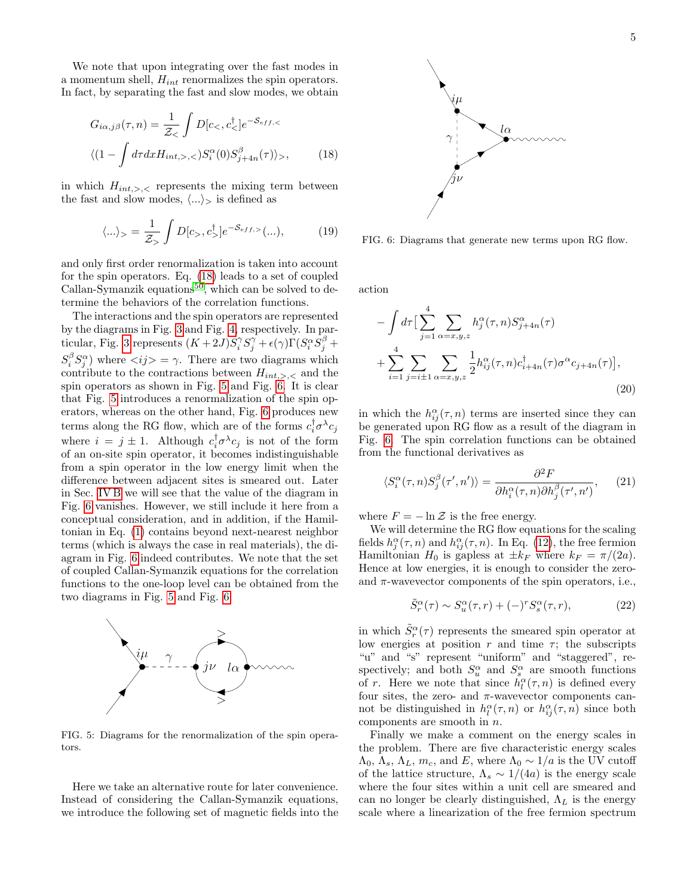We note that upon integrating over the fast modes in a momentum shell,  $H_{int}$  renormalizes the spin operators. In fact, by separating the fast and slow modes, we obtain

$$
G_{i\alpha,j\beta}(\tau,n) = \frac{1}{\mathcal{Z}_{<} f} \int D[c_{<} c_{<}^{\dagger}] e^{-\mathcal{S}_{eff,<}} \langle (1 - \int d\tau dx H_{int,>,\cdot,<}) S_i^{\alpha}(0) S_{j+4n}^{\beta}(\tau) \rangle_{>},
$$
(18)

in which  $H_{int,>,}$  represents the mixing term between the fast and slow modes,  $\langle ... \rangle$  is defined as

$$
\langle \ldots \rangle_{>} = \frac{1}{\mathcal{Z}_{>} } \int D[c_{>}, c_{>}^{\dagger}] e^{-\mathcal{S}_{eff,>}}(\ldots), \tag{19}
$$

and only first order renormalization is taken into account for the spin operators. Eq. [\(18\)](#page-4-0) leads to a set of coupled Callan-Symanzik equations<sup>[50](#page-19-2)</sup>, which can be solved to determine the behaviors of the correlation functions.

The interactions and the spin operators are represented by the diagrams in Fig. [3](#page-3-0) and Fig. [4,](#page-3-1) respectively. In par-ticular, Fig. [3](#page-3-0) represents  $(K+2J)S_i^{\gamma}S_j^{\gamma} + \epsilon(\gamma)\Gamma(S_i^{\alpha}S_j^{\beta} + \gamma)$  $S_i^{\beta} S_j^{\alpha}$  where  $\langle ij \rangle = \gamma$ . There are two diagrams which contribute to the contractions between  $H_{int,>,}$  and the spin operators as shown in Fig. [5](#page-4-1) and Fig. [6.](#page-4-2) It is clear that Fig. [5](#page-4-1) introduces a renormalization of the spin operators, whereas on the other hand, Fig. [6](#page-4-2) produces new terms along the RG flow, which are of the forms  $c_i^{\dagger} \sigma^{\lambda} c_j$ where  $i = j \pm 1$ . Although  $c_i^{\dagger} \sigma^{\lambda} c_j$  is not of the form of an on-site spin operator, it becomes indistinguishable from a spin operator in the low energy limit when the difference between adjacent sites is smeared out. Later in Sec. [IV B](#page-7-0) we will see that the value of the diagram in Fig. [6](#page-4-2) vanishes. However, we still include it here from a conceptual consideration, and in addition, if the Hamiltonian in Eq. [\(1\)](#page-1-3) contains beyond next-nearest neighbor terms (which is always the case in real materials), the diagram in Fig. [6](#page-4-2) indeed contributes. We note that the set of coupled Callan-Symanzik equations for the correlation functions to the one-loop level can be obtained from the two diagrams in Fig. [5](#page-4-1) and Fig. [6.](#page-4-2)



<span id="page-4-1"></span>FIG. 5: Diagrams for the renormalization of the spin operators.

Here we take an alternative route for later convenience. Instead of considering the Callan-Symanzik equations, we introduce the following set of magnetic fields into the



<span id="page-4-2"></span><span id="page-4-0"></span>FIG. 6: Diagrams that generate new terms upon RG flow.

action

$$
-\int d\tau \left[\sum_{j=1}^{4} \sum_{\alpha=x,y,z} h_j^{\alpha}(\tau,n) S_{j+4n}^{\alpha}(\tau) + \sum_{i=1}^{4} \sum_{j=i\pm 1} \sum_{\alpha=x,y,z} \frac{1}{2} h_{ij}^{\alpha}(\tau,n) c_{i+4n}^{\dagger}(\tau) \sigma^{\alpha} c_{j+4n}(\tau)\right],
$$
\n(20)

in which the  $h_{ij}^{\alpha}(\tau, n)$  terms are inserted since they can be generated upon RG flow as a result of the diagram in Fig. [6.](#page-4-2) The spin correlation functions can be obtained from the functional derivatives as

$$
\langle S_i^{\alpha}(\tau,n)S_j^{\beta}(\tau',n')\rangle = \frac{\partial^2 F}{\partial h_i^{\alpha}(\tau,n)\partial h_j^{\beta}(\tau',n')},\qquad(21)
$$

where  $F = -\ln \mathcal{Z}$  is the free energy.

We will determine the RG flow equations for the scaling fields  $h_j^{\alpha}(\tau, n)$  and  $h_{ij}^{\alpha}(\tau, n)$ . In Eq. [\(12\)](#page-3-2), the free fermion Hamiltonian  $H_0$  is gapless at  $\pm k_F$  where  $k_F = \pi/(2a)$ . Hence at low energies, it is enough to consider the zeroand  $\pi$ -wavevector components of the spin operators, i.e.,

<span id="page-4-3"></span>
$$
\tilde{S}_r^{\alpha}(\tau) \sim S_u^{\alpha}(\tau, r) + (-)^r S_s^{\alpha}(\tau, r), \tag{22}
$$

in which  $\tilde{S}_r^{\alpha}(\tau)$  represents the smeared spin operator at low energies at position r and time  $\tau$ ; the subscripts "u" and "s" represent "uniform" and "staggered", respectively; and both  $S_u^{\alpha}$  and  $S_s^{\alpha}$  are smooth functions of r. Here we note that since  $\bar{h}_l^{\alpha}(\tau, n)$  is defined every four sites, the zero- and  $\pi$ -wavevector components cannot be distinguished in  $h_l^{\alpha}(\tau, n)$  or  $h_{ij}^{\alpha}(\tau, n)$  since both components are smooth in  $n$ .

Finally we make a comment on the energy scales in the problem. There are five characteristic energy scales  $\Lambda_0, \Lambda_s, \Lambda_L, m_c$ , and E, where  $\Lambda_0 \sim 1/a$  is the UV cutoff of the lattice structure,  $\Lambda_s \sim 1/(4a)$  is the energy scale where the four sites within a unit cell are smeared and can no longer be clearly distinguished,  $\Lambda_L$  is the energy scale where a linearization of the free fermion spectrum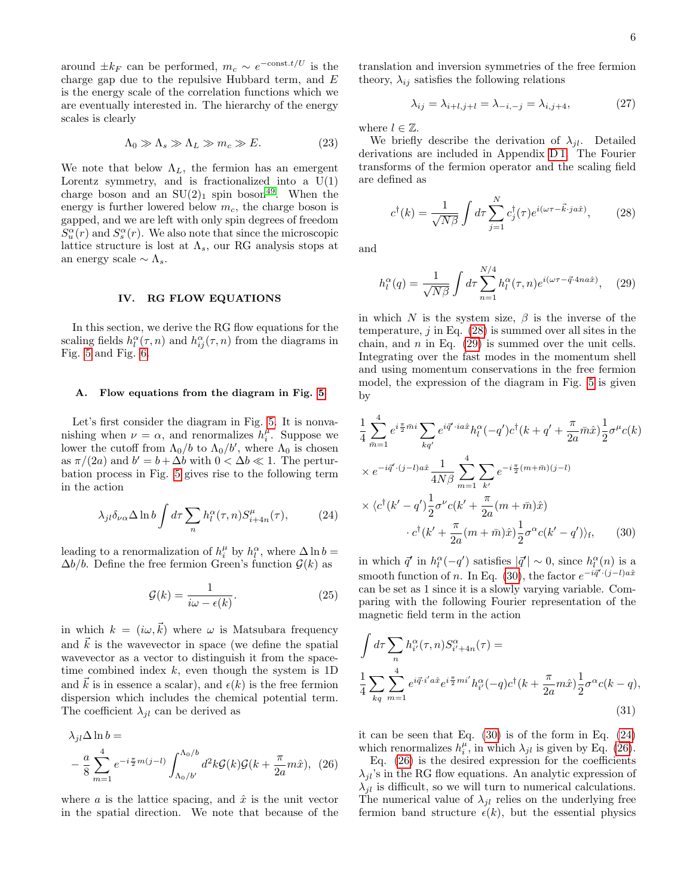around  $\pm k_F$  can be performed,  $m_c \sim e^{-\text{const.}t/U}$  is the charge gap due to the repulsive Hubbard term, and  $E$ is the energy scale of the correlation functions which we are eventually interested in. The hierarchy of the energy scales is clearly

<span id="page-5-6"></span>
$$
\Lambda_0 \gg \Lambda_s \gg \Lambda_L \gg m_c \gg E. \tag{23}
$$

We note that below  $\Lambda_L$ , the fermion has an emergent Lorentz symmetry, and is fractionalized into a  $U(1)$ charge boson and an  $SU(2)_1$  spin boson<sup>[49](#page-19-1)</sup>. When the energy is further lowered below  $m_c$ , the charge boson is gapped, and we are left with only spin degrees of freedom  $S_u^{\alpha}(r)$  and  $S_s^{\alpha}(r)$ . We also note that since the microscopic lattice structure is lost at  $\Lambda_s$ , our RG analysis stops at an energy scale  $\sim \Lambda_s$ .

# <span id="page-5-0"></span>IV. RG FLOW EQUATIONS

In this section, we derive the RG flow equations for the scaling fields  $h_l^{\alpha}(\tau, n)$  and  $h_{ij}^{\alpha}(\tau, n)$  from the diagrams in Fig. [5](#page-4-1) and Fig. [6.](#page-4-2)

### A. Flow equations from the diagram in Fig. [5](#page-4-1)

Let's first consider the diagram in Fig. [5.](#page-4-1) It is nonvanishing when  $\nu = \alpha$ , and renormalizes  $h_i^{\mu}$ . Suppose we lower the cutoff from  $\Lambda_0/b$  to  $\Lambda_0/b'$ , where  $\Lambda_0$  is chosen as  $\pi/(2a)$  and  $b' = b + \Delta b$  with  $0 < \Delta b \ll 1$ . The perturbation process in Fig. [5](#page-4-1) gives rise to the following term in the action

<span id="page-5-4"></span>
$$
\lambda_{jl}\delta_{\nu\alpha}\Delta\ln b \int d\tau \sum_{n} h_{l}^{\alpha}(\tau,n)S_{i+4n}^{\mu}(\tau), \tag{24}
$$

leading to a renormalization of  $h_i^{\mu}$  by  $h_i^{\alpha}$ , where  $\Delta \ln b =$  $\Delta b/b$ . Define the free fermion Green's function  $\mathcal{G}(k)$  as

$$
\mathcal{G}(k) = \frac{1}{i\omega - \epsilon(k)}.\tag{25}
$$

in which  $k = (i\omega, \vec{k})$  where  $\omega$  is Matsubara frequency and  $k$  is the wavevector in space (we define the spatial wavevector as a vector to distinguish it from the spacetime combined index  $k$ , even though the system is 1D and  $\vec{k}$  is in essence a scalar), and  $\epsilon(k)$  is the free fermion dispersion which includes the chemical potential term. The coefficient  $\lambda_{jl}$  can be derived as

$$
\lambda_{jl}\Delta \ln b =
$$
  
 
$$
- \frac{a}{8} \sum_{m=1}^{4} e^{-i\frac{\pi}{2}m(j-l)} \int_{\Lambda_0/b'}^{\Lambda_0/b} d^2k \mathcal{G}(k) \mathcal{G}(k + \frac{\pi}{2a}m\hat{x}), \quad (26)
$$

where a is the lattice spacing, and  $\hat{x}$  is the unit vector in the spatial direction. We note that because of the translation and inversion symmetries of the free fermion theory,  $\lambda_{ij}$  satisfies the following relations

$$
\lambda_{ij} = \lambda_{i+l,j+l} = \lambda_{-i,-j} = \lambda_{i,j+4},\tag{27}
$$

where  $l \in \mathbb{Z}$ .

We briefly describe the derivation of  $\lambda_{il}$ . Detailed derivations are included in Appendix [D 1.](#page-12-0) The Fourier transforms of the fermion operator and the scaling field are defined as

<span id="page-5-1"></span>
$$
c^{\dagger}(k) = \frac{1}{\sqrt{N\beta}} \int d\tau \sum_{j=1}^{N} c^{\dagger}_{j}(\tau) e^{i(\omega\tau - \vec{k}\cdot j a\hat{x})}, \qquad (28)
$$

and

<span id="page-5-2"></span>
$$
h_l^{\alpha}(q) = \frac{1}{\sqrt{N\beta}} \int d\tau \sum_{n=1}^{N/4} h_l^{\alpha}(\tau, n) e^{i(\omega \tau - \vec{q} \cdot 4na\hat{x})}, \quad (29)
$$

in which N is the system size,  $\beta$  is the inverse of the temperature,  $j$  in Eq.  $(28)$  is summed over all sites in the chain, and  $n$  in Eq. [\(29\)](#page-5-2) is summed over the unit cells. Integrating over the fast modes in the momentum shell and using momentum conservations in the free fermion model, the expression of the diagram in Fig. [5](#page-4-1) is given by

$$
\frac{1}{4} \sum_{\bar{m}=1}^{4} e^{i\frac{\pi}{2}\bar{m}i} \sum_{kq'} e^{i\vec{q'}\cdot ia\hat{x}} h_l^{\alpha}(-q')c^{\dagger}(k+q'+\frac{\pi}{2a}\bar{m}\hat{x}) \frac{1}{2}\sigma^{\mu}c(k)
$$
\n
$$
\times e^{-i\vec{q'}\cdot(j-l)a\hat{x}} \frac{1}{4N\beta} \sum_{m=1}^{4} \sum_{k'} e^{-i\frac{\pi}{2}(m+\bar{m})(j-l)}
$$
\n
$$
\times \langle c^{\dagger}(k'-q')\frac{1}{2}\sigma^{\nu}c(k'+\frac{\pi}{2a}(m+\bar{m})\hat{x})
$$
\n
$$
\cdot c^{\dagger}(k'+\frac{\pi}{2a}(m+\bar{m})\hat{x}) \frac{1}{2}\sigma^{\alpha}c(k'-q')\rangle_{\rm f}, \qquad (30)
$$

<span id="page-5-3"></span>in which  $\vec{q}'$  in  $h_l^{\alpha}(-q')$  satisfies  $|\vec{q}'| \sim 0$ , since  $h_l^{\alpha}(n)$  is a smooth function of n. In Eq. [\(30\)](#page-5-3), the factor  $e^{-i\vec{q}' \cdot (j-l)a\hat{x}}$ can be set as 1 since it is a slowly varying variable. Comparing with the following Fourier representation of the magnetic field term in the action

$$
\int d\tau \sum_{n} h_i^{\alpha}(\tau, n) S_{i'+4n}^{\alpha}(\tau) =
$$
\n
$$
\frac{1}{4} \sum_{kq} \sum_{m=1}^{4} e^{i\vec{q} \cdot i' a \hat{x}} e^{i\frac{\pi}{2} m i'} h_{i'}^{\alpha}(-q) c^{\dagger} (k + \frac{\pi}{2a} m \hat{x}) \frac{1}{2} \sigma^{\alpha} c(k - q),
$$
\n(31)

it can be seen that Eq. [\(30\)](#page-5-3) is of the form in Eq. [\(24\)](#page-5-4) which renormalizes  $h_i^{\mu}$ , in which  $\lambda_{jl}$  is given by Eq. [\(26\)](#page-5-5).

<span id="page-5-5"></span>Eq.  $(26)$  is the desired expression for the coefficients  $\lambda_{jl}$ 's in the RG flow equations. An analytic expression of  $\lambda_{jl}$  is difficult, so we will turn to numerical calculations. The numerical value of  $\lambda_{jl}$  relies on the underlying free fermion band structure  $\epsilon(k)$ , but the essential physics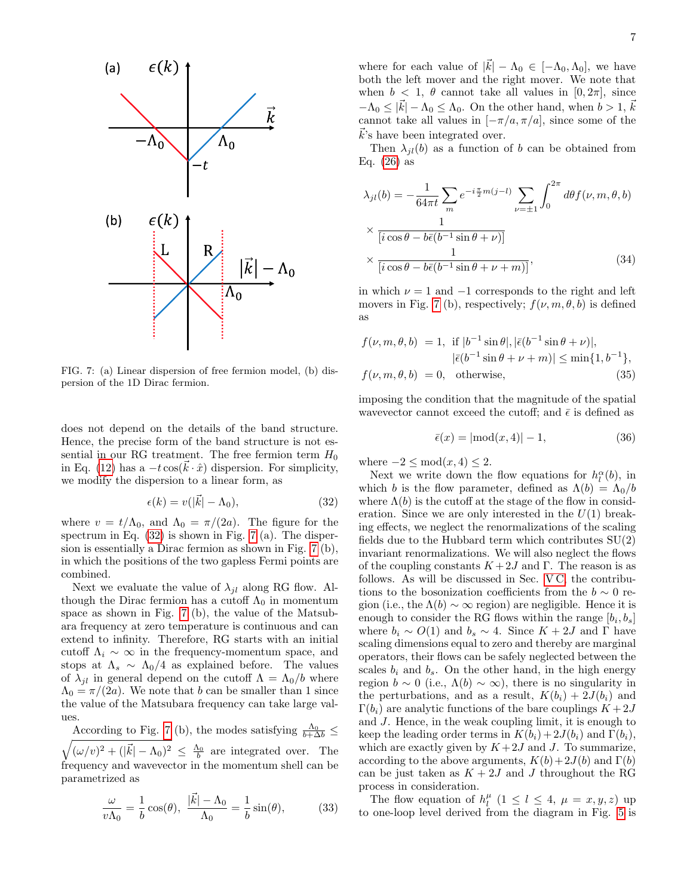

<span id="page-6-1"></span>FIG. 7: (a) Linear dispersion of free fermion model, (b) dispersion of the 1D Dirac fermion.

does not depend on the details of the band structure. Hence, the precise form of the band structure is not essential in our RG treatment. The free fermion term  $H_0$ in Eq. [\(12\)](#page-3-2) has a  $-t \cos(\vec{k} \cdot \hat{x})$  dispersion. For simplicity, we modify the dispersion to a linear form, as

<span id="page-6-0"></span>
$$
\epsilon(k) = v(|\vec{k}| - \Lambda_0),\tag{32}
$$

where  $v = t/\Lambda_0$ , and  $\Lambda_0 = \pi/(2a)$ . The figure for the spectrum in Eq.  $(32)$  is shown in Fig. [7](#page-6-1) (a). The dispersion is essentially a Dirac fermion as shown in Fig. [7](#page-6-1) (b), in which the positions of the two gapless Fermi points are combined.

Next we evaluate the value of  $\lambda_{jl}$  along RG flow. Although the Dirac fermion has a cutoff  $\Lambda_0$  in momentum space as shown in Fig. [7](#page-6-1) (b), the value of the Matsubara frequency at zero temperature is continuous and can extend to infinity. Therefore, RG starts with an initial cutoff  $\Lambda_i \sim \infty$  in the frequency-momentum space, and stops at  $\Lambda_s \sim \Lambda_0/4$  as explained before. The values of  $\lambda_{jl}$  in general depend on the cutoff  $\Lambda = \Lambda_0/b$  where  $\Lambda_0 = \pi/(2a)$ . We note that b can be smaller than 1 since the value of the Matsubara frequency can take large values.

According to Fig. [7](#page-6-1) (b), the modes satisfying  $\frac{\Lambda_0}{b+\Delta b}$   $\leq$  $\sqrt{(\omega/v)^2 + (|\vec{k}| - \Lambda_0)^2} \leq \frac{\Lambda_0}{b}$  are integrated over. The frequency and wavevector in the momentum shell can be parametrized as

$$
\frac{\omega}{v\Lambda_0} = \frac{1}{b}\cos(\theta), \quad \frac{|\vec{k}| - \Lambda_0}{\Lambda_0} = \frac{1}{b}\sin(\theta), \tag{33}
$$

where for each value of  $|\vec{k}| - \Lambda_0 \in [-\Lambda_0, \Lambda_0]$ , we have both the left mover and the right mover. We note that when  $b < 1$ ,  $\theta$  cannot take all values in  $[0, 2\pi]$ , since  $-\Lambda_0 \leq |\vec{k}| - \Lambda_0 \leq \Lambda_0$ . On the other hand, when  $b > 1$ ,  $\vec{k}$ cannot take all values in  $[-\pi/a, \pi/a]$ , since some of the  $k$ 's have been integrated over.

Then  $\lambda_{jl}(b)$  as a function of b can be obtained from Eq.  $(26)$  as

<span id="page-6-2"></span>
$$
\lambda_{jl}(b) = -\frac{1}{64\pi t} \sum_{m} e^{-i\frac{\pi}{2}m(j-l)} \sum_{\nu=\pm 1} \int_{0}^{2\pi} d\theta f(\nu, m, \theta, b)
$$

$$
\times \frac{1}{[i\cos\theta - b\bar{\epsilon}(b^{-1}\sin\theta + \nu)]}
$$

$$
\times \frac{1}{[i\cos\theta - b\bar{\epsilon}(b^{-1}\sin\theta + \nu + m)]},
$$
(34)

in which  $\nu = 1$  and  $-1$  corresponds to the right and left movers in Fig. [7](#page-6-1) (b), respectively;  $f(\nu, m, \theta, b)$  is defined as

$$
f(\nu, m, \theta, b) = 1, \text{ if } |b^{-1}\sin\theta|, |\bar{\epsilon}(b^{-1}\sin\theta + \nu)|,
$$
  

$$
|\bar{\epsilon}(b^{-1}\sin\theta + \nu + m)| \le \min\{1, b^{-1}\},
$$
  

$$
f(\nu, m, \theta, b) = 0, \text{ otherwise},
$$
 (35)

imposing the condition that the magnitude of the spatial wavevector cannot exceed the cutoff; and  $\bar{\epsilon}$  is defined as

$$
\bar{\epsilon}(x) = |\text{mod}(x, 4)| - 1,\tag{36}
$$

where  $-2 \leq \text{mod}(x, 4) \leq 2$ .

Next we write down the flow equations for  $h_l^{\alpha}(b)$ , in which b is the flow parameter, defined as  $\Lambda(b) = \Lambda_0/b$ where  $\Lambda(b)$  is the cutoff at the stage of the flow in consideration. Since we are only interested in the  $U(1)$  breaking effects, we neglect the renormalizations of the scaling fields due to the Hubbard term which contributes  $SU(2)$ invariant renormalizations. We will also neglect the flows of the coupling constants  $K+2J$  and Γ. The reason is as follows. As will be discussed in Sec. [V C,](#page-9-0) the contributions to the bosonization coefficients from the  $b \sim 0$  region (i.e., the  $\Lambda(b) \sim \infty$  region) are negligible. Hence it is enough to consider the RG flows within the range  $[b_i, b_s]$ where  $b_i \sim O(1)$  and  $b_s \sim 4$ . Since  $K + 2J$  and  $\Gamma$  have scaling dimensions equal to zero and thereby are marginal operators, their flows can be safely neglected between the scales  $b_i$  and  $b_s$ . On the other hand, in the high energy region  $b \sim 0$  (i.e.,  $\Lambda(b) \sim \infty$ ), there is no singularity in the perturbations, and as a result,  $K(b_i) + 2J(b_i)$  and  $\Gamma(b_i)$  are analytic functions of the bare couplings  $K+2J$ and J. Hence, in the weak coupling limit, it is enough to keep the leading order terms in  $K(b_i) + 2J(b_i)$  and  $\Gamma(b_i)$ , which are exactly given by  $K+2J$  and J. To summarize, according to the above arguments,  $K(b)+2J(b)$  and  $\Gamma(b)$ can be just taken as  $K + 2J$  and J throughout the RG process in consideration.

The flow equation of  $h_l^{\mu}$  (1  $\leq l \leq 4$ ,  $\mu = x, y, z$ ) up to one-loop level derived from the diagram in Fig. [5](#page-4-1) is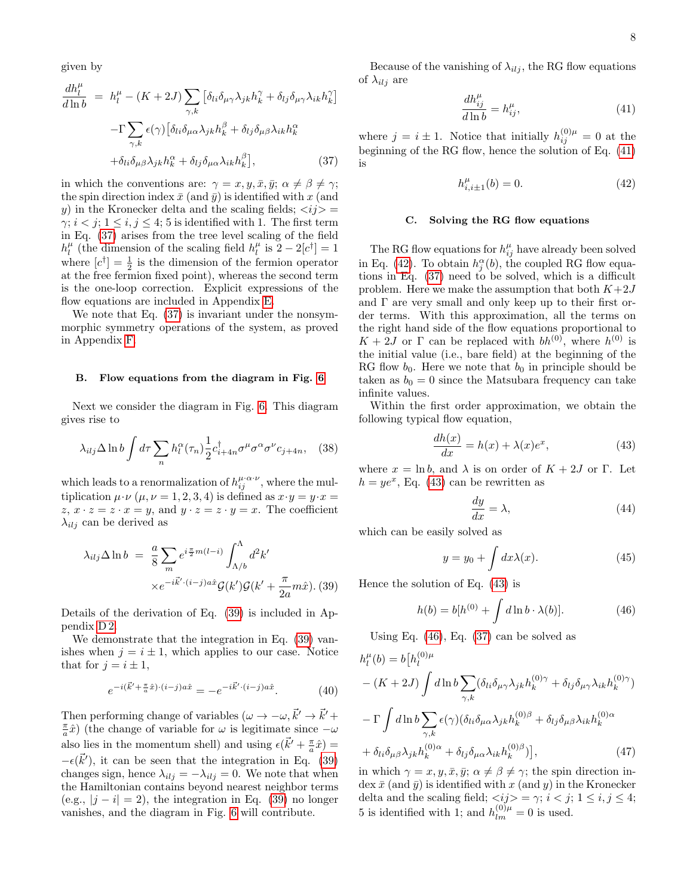given by

<span id="page-7-1"></span>
$$
\frac{dh_l^{\mu}}{d\ln b} = h_l^{\mu} - (K + 2J) \sum_{\gamma,k} \left[ \delta_{li} \delta_{\mu\gamma} \lambda_{jk} h_k^{\gamma} + \delta_{lj} \delta_{\mu\gamma} \lambda_{ik} h_k^{\gamma} \right]
$$

$$
- \Gamma \sum_{\gamma,k} \epsilon(\gamma) \left[ \delta_{li} \delta_{\mu\alpha} \lambda_{jk} h_k^{\beta} + \delta_{lj} \delta_{\mu\beta} \lambda_{ik} h_k^{\alpha} + \delta_{li} \delta_{\mu\beta} \lambda_{jk} h_k^{\alpha} + \delta_{lj} \delta_{\mu\alpha} \lambda_{ik} h_k^{\beta} \right], \tag{37}
$$

in which the conventions are:  $\gamma = x, y, \bar{x}, \bar{y}; \alpha \neq \beta \neq \gamma;$ the spin direction index  $\bar{x}$  (and  $\bar{y}$ ) is identified with x (and y) in the Kronecker delta and the scaling fields;  $\langle i j \rangle$  =  $\gamma$ ;  $i < j$ ;  $1 \le i, j \le 4$ ; 5 is identified with 1. The first term in Eq. [\(37\)](#page-7-1) arises from the tree level scaling of the field  $h_l^{\mu}$  (the dimension of the scaling field  $h_l^{\mu}$  is  $2 - 2[c^{\dagger}] = 1$ where  $[c^{\dagger}] = \frac{1}{2}$  is the dimension of the fermion operator at the free fermion fixed point), whereas the second term is the one-loop correction. Explicit expressions of the flow equations are included in Appendix [E.](#page-14-0)

We note that Eq. [\(37\)](#page-7-1) is invariant under the nonsymmorphic symmetry operations of the system, as proved in Appendix [F.](#page-15-0)

### <span id="page-7-0"></span>B. Flow equations from the diagram in Fig. [6](#page-4-2)

Next we consider the diagram in Fig. [6.](#page-4-2) This diagram gives rise to

$$
\lambda_{ilj} \Delta \ln b \int d\tau \sum_{n} h_l^{\alpha}(\tau_n) \frac{1}{2} c_{i+4n}^{\dagger} \sigma^{\mu} \sigma^{\alpha} \sigma^{\nu} c_{j+4n}, \quad (38)
$$

which leads to a renormalization of  $h_{ij}^{\mu\cdot\alpha\cdot\nu}$ , where the multiplication  $\mu \cdot \nu$  ( $\mu, \nu = 1, 2, 3, 4$ ) is defined as  $x \cdot y = y \cdot x =$  $z, x \cdot z = z \cdot x = y$ , and  $y \cdot z = z \cdot y = x$ . The coefficient  $\lambda_{ilj}$  can be derived as

<span id="page-7-2"></span>
$$
\lambda_{ilj} \Delta \ln b = \frac{a}{8} \sum_{m} e^{i\frac{\pi}{2}m(l-i)} \int_{\Lambda/b}^{\Lambda} d^2k'
$$

$$
\times e^{-i\vec{k}' \cdot (i-j)a\hat{x}} \mathcal{G}(k') \mathcal{G}(k' + \frac{\pi}{2a}m\hat{x}).
$$
 (39)

Details of the derivation of Eq. [\(39\)](#page-7-2) is included in Appendix [D 2.](#page-14-1)

We demonstrate that the integration in Eq. [\(39\)](#page-7-2) vanishes when  $j = i \pm 1$ , which applies to our case. Notice that for  $j = i \pm 1$ ,

$$
e^{-i(\vec{k}' + \frac{\pi}{a}\hat{x}) \cdot (i-j)a\hat{x}} = -e^{-i\vec{k}' \cdot (i-j)a\hat{x}}.
$$
 (40)

Then performing change of variables  $(\omega \to -\omega, \vec{k}' \to \vec{k}')$  $\frac{\pi}{a}\hat{x}$ ) (the change of variable for  $\omega$  is legitimate since  $-\omega$ also lies in the momentum shell) and using  $\epsilon(\vec{k}' + \frac{\pi}{a}\hat{x}) =$  $-\epsilon(\vec{k}')$ , it can be seen that the integration in Eq. [\(39\)](#page-7-2) changes sign, hence  $\lambda_{ilj} = -\lambda_{ilj} = 0$ . We note that when the Hamiltonian contains beyond nearest neighbor terms  $(e.g., |j - i| = 2)$ , the integration in Eq. [\(39\)](#page-7-2) no longer vanishes, and the diagram in Fig. [6](#page-4-2) will contribute.

Because of the vanishing of  $\lambda_{ilj}$ , the RG flow equations of  $\lambda_{ilj}$  are

<span id="page-7-3"></span>
$$
\frac{dh_{ij}^{\mu}}{d\ln b} = h_{ij}^{\mu},\tag{41}
$$

where  $j = i \pm 1$ . Notice that initially  $h_{ij}^{(0)\mu} = 0$  at the beginning of the RG flow, hence the solution of Eq. [\(41\)](#page-7-3) is

<span id="page-7-4"></span>
$$
h_{i,i\pm 1}^{\mu}(b) = 0.
$$
 (42)

### C. Solving the RG flow equations

The RG flow equations for  $h_{ij}^{\mu}$  have already been solved in Eq. [\(42\)](#page-7-4). To obtain  $h_j^{\alpha}(b)$ , the coupled RG flow equations in Eq. [\(37\)](#page-7-1) need to be solved, which is a difficult problem. Here we make the assumption that both  $K+2J$ and Γ are very small and only keep up to their first order terms. With this approximation, all the terms on the right hand side of the flow equations proportional to  $K + 2J$  or  $\Gamma$  can be replaced with  $bh^{(0)}$ , where  $h^{(0)}$  is the initial value (i.e., bare field) at the beginning of the RG flow  $b_0$ . Here we note that  $b_0$  in principle should be taken as  $b_0 = 0$  since the Matsubara frequency can take infinite values.

Within the first order approximation, we obtain the following typical flow equation,

<span id="page-7-5"></span>
$$
\frac{dh(x)}{dx} = h(x) + \lambda(x)e^x,\tag{43}
$$

where  $x = \ln b$ , and  $\lambda$  is on order of  $K + 2J$  or  $\Gamma$ . Let  $h = ye^x$ , Eq. [\(43\)](#page-7-5) can be rewritten as

$$
\frac{dy}{dx} = \lambda,\tag{44}
$$

which can be easily solved as

$$
y = y_0 + \int dx \lambda(x). \tag{45}
$$

Hence the solution of Eq. [\(43\)](#page-7-5) is

<span id="page-7-7"></span><span id="page-7-6"></span>
$$
h(b) = b[h^{(0)} + \int d\ln b \cdot \lambda(b)].
$$
 (46)

Using Eq. [\(46\)](#page-7-6), Eq. [\(37\)](#page-7-1) can be solved as

$$
h_l^{\mu}(b) = b[h_l^{(0)\mu} - (K + 2J) \int d\ln b \sum_{\gamma,k} (\delta_{li}\delta_{\mu\gamma}\lambda_{jk}h_k^{(0)\gamma} + \delta_{lj}\delta_{\mu\gamma}\lambda_{ik}h_k^{(0)\gamma}) - \Gamma \int d\ln b \sum_{\gamma,k} \epsilon(\gamma) (\delta_{li}\delta_{\mu\alpha}\lambda_{jk}h_k^{(0)\beta} + \delta_{lj}\delta_{\mu\beta}\lambda_{ik}h_k^{(0)\alpha} + \delta_{li}\delta_{\mu\beta}\lambda_{jk}h_k^{(0)\alpha} + \delta_{lj}\delta_{\mu\alpha}\lambda_{ik}h_k^{(0)\beta})],
$$
 (47)

in which  $\gamma = x, y, \bar{x}, \bar{y}; \alpha \neq \beta \neq \gamma$ ; the spin direction in- $\text{dex } \bar{x} \text{ (and } \bar{y} \text{) is identified with } x \text{ (and } y \text{) in the Kronecker}$ delta and the scaling field;  $\langle i j \rangle = \gamma$ ;  $i < j$ ;  $1 \le i, j \le 4$ ; 5 is identified with 1; and  $h_{lm}^{(0)\mu} = 0$  is used.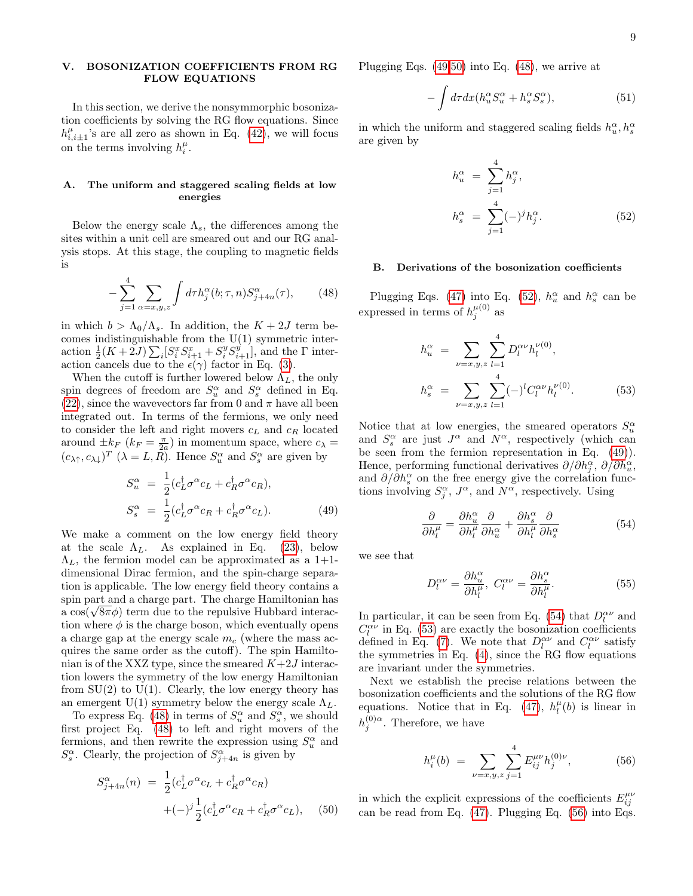# <span id="page-8-0"></span>V. BOSONIZATION COEFFICIENTS FROM RG FLOW EQUATIONS

In this section, we derive the nonsymmorphic bosonization coefficients by solving the RG flow equations. Since  $h_{i,i\pm 1}^{\mu}$ 's are all zero as shown in Eq. [\(42\)](#page-7-4), we will focus on the terms involving  $h_i^{\mu}$ .

# A. The uniform and staggered scaling fields at low energies

Below the energy scale  $\Lambda_s$ , the differences among the sites within a unit cell are smeared out and our RG analysis stops. At this stage, the coupling to magnetic fields is

$$
-\sum_{j=1}^{4} \sum_{\alpha=x,y,z} \int d\tau h_j^{\alpha}(b;\tau,n) S_{j+4n}^{\alpha}(\tau),\qquad(48)
$$

in which  $b > \Lambda_0/\Lambda_s$ . In addition, the  $K + 2J$  term becomes indistinguishable from the  $U(1)$  symmetric interaction  $\frac{1}{2}(K+2J)\sum_i[S_i^xS_{i+1}^x+S_i^yS_{i+1}^y]$ , and the  $\Gamma$  interaction cancels due to the  $\epsilon(\gamma)$  factor in Eq. [\(3\)](#page-1-4).

When the cutoff is further lowered below  $\Lambda_L$ , the only spin degrees of freedom are  $S_u^{\alpha}$  and  $S_s^{\alpha}$  defined in Eq. [\(22\)](#page-4-3), since the wavevectors far from 0 and  $\pi$  have all been integrated out. In terms of the fermions, we only need to consider the left and right movers  $c<sub>L</sub>$  and  $c<sub>R</sub>$  located around  $\pm k_F$   $(k_F = \frac{\pi}{2a})$  in momentum space, where  $c_{\lambda} =$  $(c_{\lambda\uparrow}, c_{\lambda\downarrow})^T$   $(\lambda = L, R)$ . Hence  $S_u^{\alpha}$  and  $S_s^{\alpha}$  are given by

<span id="page-8-2"></span>
$$
S_u^{\alpha} = \frac{1}{2} (c_L^{\dagger} \sigma^{\alpha} c_L + c_R^{\dagger} \sigma^{\alpha} c_R),
$$
  
\n
$$
S_s^{\alpha} = \frac{1}{2} (c_L^{\dagger} \sigma^{\alpha} c_R + c_R^{\dagger} \sigma^{\alpha} c_L).
$$
\n(49)

We make a comment on the low energy field theory at the scale  $\Lambda_L$ . As explained in Eq. [\(23\)](#page-5-6), below  $\Lambda_L$ , the fermion model can be approximated as a 1+1dimensional Dirac fermion, and the spin-charge separation is applicable. The low energy field theory contains a spin part and a charge part. The charge Hamiltonian has spin part and a charge part. The charge Hamiltonian has<br>a cos( $\sqrt{8\pi}\phi$ ) term due to the repulsive Hubbard interaction where  $\phi$  is the charge boson, which eventually opens a charge gap at the energy scale  $m_c$  (where the mass acquires the same order as the cutoff). The spin Hamiltonian is of the XXZ type, since the smeared  $K+2J$  interaction lowers the symmetry of the low energy Hamiltonian from  $SU(2)$  to  $U(1)$ . Clearly, the low energy theory has an emergent U(1) symmetry below the energy scale  $\Lambda_L$ .

To express Eq. [\(48\)](#page-8-1) in terms of  $S_u^{\alpha}$  and  $S_s^{\alpha}$ , we should first project Eq. [\(48\)](#page-8-1) to left and right movers of the fermions, and then rewrite the expression using  $S_u^{\alpha}$  and  $S_s^{\alpha}$ . Clearly, the projection of  $S_{j+4n}^{\alpha}$  is given by

<span id="page-8-3"></span>
$$
S_{j+4n}^{\alpha}(n) = \frac{1}{2} (c_L^{\dagger} \sigma^{\alpha} c_L + c_R^{\dagger} \sigma^{\alpha} c_R)
$$

$$
+ (-)^j \frac{1}{2} (c_L^{\dagger} \sigma^{\alpha} c_R + c_R^{\dagger} \sigma^{\alpha} c_L), \quad (50)
$$

Plugging Eqs. [\(49,](#page-8-2)[50\)](#page-8-3) into Eq. [\(48\)](#page-8-1), we arrive at

$$
-\int d\tau dx (h_u^{\alpha} S_u^{\alpha} + h_s^{\alpha} S_s^{\alpha}),\tag{51}
$$

in which the uniform and staggered scaling fields  $h_u^\alpha, h_s^\alpha$ are given by

<span id="page-8-4"></span>
$$
h_u^{\alpha} = \sum_{j=1}^{4} h_j^{\alpha},
$$
  
\n
$$
h_s^{\alpha} = \sum_{j=1}^{4} (-)^j h_j^{\alpha}.
$$
\n(52)

# B. Derivations of the bosonization coefficients

<span id="page-8-1"></span>Plugging Eqs. [\(47\)](#page-7-7) into Eq. [\(52\)](#page-8-4),  $h_u^{\alpha}$  and  $h_s^{\alpha}$  can be expressed in terms of  $h_j^{\mu(0)}$  as

<span id="page-8-6"></span>
$$
h_u^{\alpha} = \sum_{\nu=x,y,z} \sum_{l=1}^{4} D_l^{\alpha \nu} h_l^{\nu(0)},
$$
  

$$
h_s^{\alpha} = \sum_{\nu=x,y,z} \sum_{l=1}^{4} (-)^l C_l^{\alpha \nu} h_l^{\nu(0)}.
$$
 (53)

Notice that at low energies, the smeared operators  $S_u^{\alpha}$ and  $S_s^{\alpha}$  are just  $J^{\alpha}$  and  $N^{\alpha}$ , respectively (which can be seen from the fermion representation in Eq. [\(49\)](#page-8-2)). Hence, performing functional derivatives  $\partial/\partial h_j^{\alpha}, \partial/\partial h_u^{\alpha}$ , and  $\partial/\partial h_s^{\alpha}$  on the free energy give the correlation functions involving  $S_j^{\alpha}$ ,  $J^{\alpha}$ , and  $N^{\alpha}$ , respectively. Using

<span id="page-8-5"></span>
$$
\frac{\partial}{\partial h_l^{\mu}} = \frac{\partial h_u^{\alpha}}{\partial h_l^{\mu}} \frac{\partial}{\partial h_u^{\alpha}} + \frac{\partial h_s^{\alpha}}{\partial h_l^{\mu}} \frac{\partial}{\partial h_s^{\alpha}} \tag{54}
$$

we see that

$$
D_l^{\alpha\nu} = \frac{\partial h_u^{\alpha}}{\partial h_l^{\mu}}, \ C_l^{\alpha\nu} = \frac{\partial h_s^{\alpha}}{\partial h_l^{\mu}}.
$$
 (55)

In particular, it can be seen from Eq. [\(54\)](#page-8-5) that  $D_l^{\alpha\nu}$  and  $C_l^{\alpha\nu}$  in Eq. [\(53\)](#page-8-6) are exactly the bosonization coefficients defined in Eq. [\(7\)](#page-2-2). We note that  $D_l^{\alpha\nu}$  and  $C_l^{\alpha\nu}$  satisfy the symmetries in Eq.  $(4)$ , since the RG flow equations are invariant under the symmetries.

Next we establish the precise relations between the bosonization coefficients and the solutions of the RG flow equations. Notice that in Eq. [\(47\)](#page-7-7),  $h_l^{\mu}(b)$  is linear in  $h_j^{(0)\alpha}$ . Therefore, we have

<span id="page-8-7"></span>
$$
h_i^{\mu}(b) = \sum_{\nu=x,y,z} \sum_{j=1}^{4} E_{ij}^{\mu\nu} h_j^{(0)\nu}, \tag{56}
$$

in which the explicit expressions of the coefficients  $E_{ij}^{\mu\nu}$ can be read from Eq. [\(47\)](#page-7-7). Plugging Eq. [\(56\)](#page-8-7) into Eqs.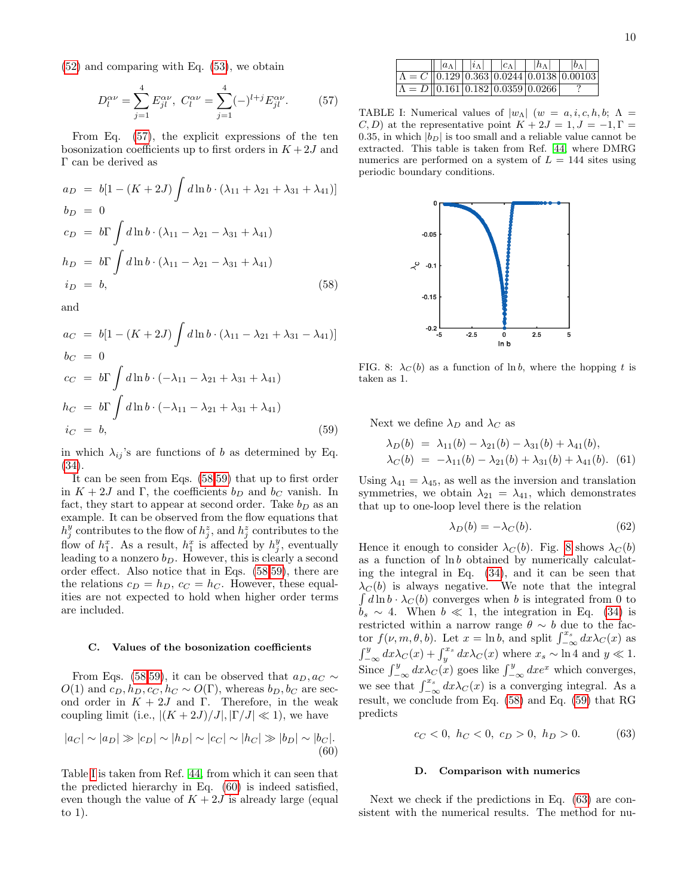[\(52\)](#page-8-4) and comparing with Eq. [\(53\)](#page-8-6), we obtain

<span id="page-9-1"></span>
$$
D_l^{\alpha\nu} = \sum_{j=1}^4 E_{jl}^{\alpha\nu}, \ C_l^{\alpha\nu} = \sum_{j=1}^4 (-)^{l+j} E_{jl}^{\alpha\nu}.
$$
 (57)

From Eq. [\(57\)](#page-9-1), the explicit expressions of the ten bosonization coefficients up to first orders in  $K + 2J$  and Γ can be derived as

<span id="page-9-2"></span>
$$
a_D = b[1 - (K + 2J) \int d\ln b \cdot (\lambda_{11} + \lambda_{21} + \lambda_{31} + \lambda_{41})]
$$
  
\n
$$
b_D = 0
$$
  
\n
$$
c_D = b\Gamma \int d\ln b \cdot (\lambda_{11} - \lambda_{21} - \lambda_{31} + \lambda_{41})
$$
  
\n
$$
h_D = b\Gamma \int d\ln b \cdot (\lambda_{11} - \lambda_{21} - \lambda_{31} + \lambda_{41})
$$
  
\n
$$
i_D = b,
$$
\n(58)

and

<span id="page-9-3"></span>
$$
a_C = b[1 - (K + 2J) \int d\ln b \cdot (\lambda_{11} - \lambda_{21} + \lambda_{31} - \lambda_{41})]
$$
  
\n
$$
b_C = 0
$$
  
\n
$$
c_C = b\Gamma \int d\ln b \cdot (-\lambda_{11} - \lambda_{21} + \lambda_{31} + \lambda_{41})
$$
  
\n
$$
h_C = b\Gamma \int d\ln b \cdot (-\lambda_{11} - \lambda_{21} + \lambda_{31} + \lambda_{41})
$$
  
\n
$$
i_C = b,
$$
\n(59)

in which  $\lambda_{ij}$ 's are functions of b as determined by Eq. [\(34\)](#page-6-2).

It can be seen from Eqs. [\(58,](#page-9-2)[59\)](#page-9-3) that up to first order in  $K + 2J$  and  $\Gamma$ , the coefficients  $b_D$  and  $b_C$  vanish. In fact, they start to appear at second order. Take  $b_D$  as an example. It can be observed from the flow equations that  $h_j^y$  contributes to the flow of  $h_j^z$ , and  $h_j^z$  contributes to the flow of  $h_1^x$ . As a result,  $h_1^x$  is affected by  $h_j^y$ , eventually leading to a nonzero  $b_D$ . However, this is clearly a second order effect. Also notice that in Eqs. [\(58,](#page-9-2)[59\)](#page-9-3), there are the relations  $c_D = h_D$ ,  $c_C = h_C$ . However, these equalities are not expected to hold when higher order terms are included.

### <span id="page-9-0"></span>C. Values of the bosonization coefficients

From Eqs. [\(58,](#page-9-2)[59\)](#page-9-3), it can be observed that  $a_D, a_C \sim$  $O(1)$  and  $c_D, h_D, c_C, h_C \sim O(\Gamma)$ , whereas  $b_D, b_C$  are second order in  $K + 2J$  and Γ. Therefore, in the weak coupling limit (i.e.,  $|(K+2J)/J|, |\Gamma/J| \ll 1$ ), we have

$$
|a_C| \sim |a_D| \gg |c_D| \sim |h_D| \sim |c_C| \sim |h_C| \gg |b_D| \sim |b_C|.
$$
\n(60)

Table [I](#page-9-4) is taken from Ref. [44,](#page-18-15) from which it can seen that the predicted hierarchy in Eq. [\(60\)](#page-9-5) is indeed satisfied, even though the value of  $K + 2J$  is already large (equal to 1).

<span id="page-9-4"></span>

|  | $ a_\Lambda  +  i_\Lambda  +  c_\Lambda $                             | $\vert \ \vert h_{\Lambda} \vert$ | $ b_\Lambda $                                                   |
|--|-----------------------------------------------------------------------|-----------------------------------|-----------------------------------------------------------------|
|  |                                                                       |                                   | $\Lambda = C \left[  0.129 0.363 0.0244 0.0138 0.00103 \right]$ |
|  | $\Lambda = D \parallel 0.161 \mid 0.182 \mid 0.0359 \mid 0.0266 \mid$ |                                   |                                                                 |

TABLE I: Numerical values of  $|w_\Lambda|$   $(w = a, i, c, h, b; \Lambda =$  $(C, D)$  at the representative point  $K + 2J = 1, J = -1, \Gamma =$ 0.35, in which  $|b_D|$  is too small and a reliable value cannot be extracted. This table is taken from Ref. [44,](#page-18-15) where DMRG numerics are performed on a system of  $L = 144$  sites using periodic boundary conditions.



<span id="page-9-6"></span>FIG. 8:  $\lambda_C(b)$  as a function of ln b, where the hopping t is taken as 1.

Next we define  $\lambda_D$  and  $\lambda_C$  as

$$
\lambda_D(b) = \lambda_{11}(b) - \lambda_{21}(b) - \lambda_{31}(b) + \lambda_{41}(b),
$$
  
\n
$$
\lambda_C(b) = -\lambda_{11}(b) - \lambda_{21}(b) + \lambda_{31}(b) + \lambda_{41}(b).
$$
 (61)

Using  $\lambda_{41} = \lambda_{45}$ , as well as the inversion and translation symmetries, we obtain  $\lambda_{21} = \lambda_{41}$ , which demonstrates that up to one-loop level there is the relation

$$
\lambda_D(b) = -\lambda_C(b). \tag{62}
$$

Hence it enough to consider  $\lambda_C(b)$ . Fig. [8](#page-9-6) shows  $\lambda_C(b)$ as a function of ln b obtained by numerically calculating the integral in Eq. [\(34\)](#page-6-2), and it can be seen that  $\lambda_C(b)$  is always negative. We note that the integral  $\int d\ln b \cdot \lambda_C(b)$  converges when b is integrated from 0 to  $b_s \sim 4$ . When  $b \ll 1$ , the integration in Eq. [\(34\)](#page-6-2) is restricted within a narrow range  $\theta \sim b$  due to the factor  $f(\nu, m, \theta, b)$ . Let  $x = \ln b$ , and split  $\int_{-\infty}^{x_s} dx \lambda_C(x)$  as  $\int_{-\infty}^{y} dx \lambda_C(x) + \int_{y}^{x_s} dx \lambda_C(x)$  where  $x_s \sim \ln 4$  and  $y \ll 1$ . Since  $\int_{-\infty}^{y} dx \lambda_C(x)$  goes like  $\int_{-\infty}^{y} dx e^x$  which converges, we see that  $\int_{-\infty}^{x_s} dx \lambda_C(x)$  is a converging integral. As a result, we conclude from Eq. [\(58\)](#page-9-2) and Eq. [\(59\)](#page-9-3) that RG predicts

<span id="page-9-7"></span>
$$
c_C < 0, \ h_C < 0, \ c_D > 0, \ h_D > 0. \tag{63}
$$

### <span id="page-9-8"></span>D. Comparison with numerics

<span id="page-9-5"></span>Next we check if the predictions in Eq. [\(63\)](#page-9-7) are consistent with the numerical results. The method for nu-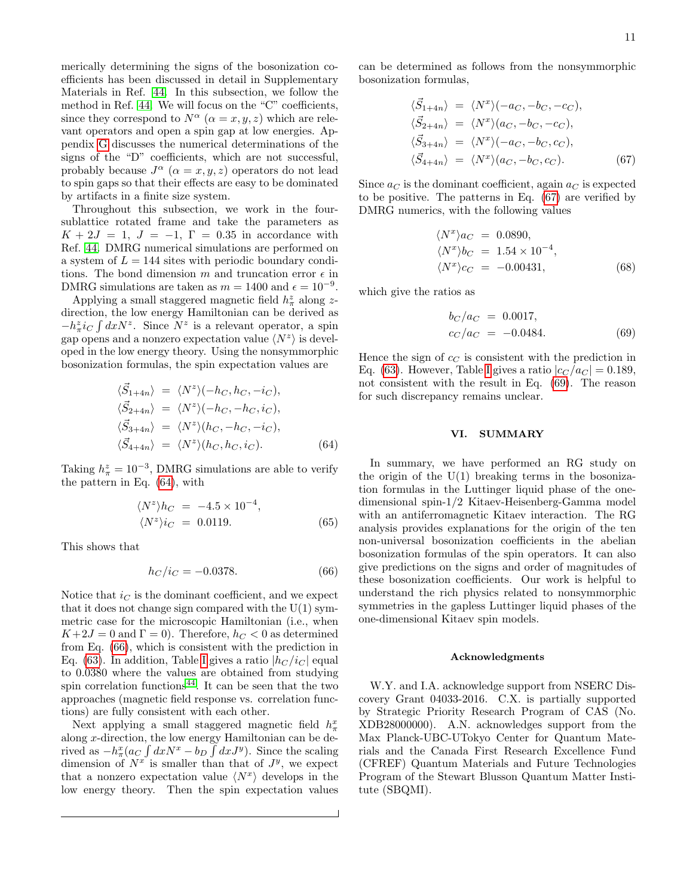11

merically determining the signs of the bosonization coefficients has been discussed in detail in Supplementary Materials in Ref. [44.](#page-18-15) In this subsection, we follow the method in Ref. [44.](#page-18-15) We will focus on the "C" coefficients, since they correspond to  $N^{\alpha}$   $(\alpha = x, y, z)$  which are relevant operators and open a spin gap at low energies. Appendix [G](#page-17-0) discusses the numerical determinations of the signs of the "D" coefficients, which are not successful, probably because  $J^{\alpha}$   $(\alpha = x, y, z)$  operators do not lead to spin gaps so that their effects are easy to be dominated by artifacts in a finite size system.

Throughout this subsection, we work in the foursublattice rotated frame and take the parameters as  $K + 2J = 1$ ,  $J = -1$ ,  $\Gamma = 0.35$  in accordance with Ref. [44.](#page-18-15) DMRG numerical simulations are performed on a system of  $L = 144$  sites with periodic boundary conditions. The bond dimension m and truncation error  $\epsilon$  in DMRG simulations are taken as  $m = 1400$  and  $\epsilon = 10^{-9}$ .

Applying a small staggered magnetic field  $h_\pi^z$  along  $z$ direction, the low energy Hamiltonian can be derived as  $-h_{\pi}^{z}i_{C}\int dxN^{z}$ . Since  $N^{z}$  is a relevant operator, a spin gap opens and a nonzero expectation value  $\langle N^z \rangle$  is developed in the low energy theory. Using the nonsymmorphic bosonization formulas, the spin expectation values are

<span id="page-10-1"></span>
$$
\langle \vec{S}_{1+4n} \rangle = \langle N^z \rangle (-h_C, h_C, -i_C),
$$
  
\n
$$
\langle \vec{S}_{2+4n} \rangle = \langle N^z \rangle (-h_C, -h_C, i_C),
$$
  
\n
$$
\langle \vec{S}_{3+4n} \rangle = \langle N^z \rangle (h_C, -h_C, -i_C),
$$
  
\n
$$
\langle \vec{S}_{4+4n} \rangle = \langle N^z \rangle (h_C, h_C, i_C).
$$
 (64)

Taking  $h_{\pi}^z = 10^{-3}$ , DMRG simulations are able to verify the pattern in Eq. [\(64\)](#page-10-1), with

$$
\langle N^z \rangle h_C = -4.5 \times 10^{-4},
$$
  

$$
\langle N^z \rangle i_C = 0.0119.
$$
 (65)

This shows that

<span id="page-10-2"></span>
$$
h_C/i_C = -0.0378.\t(66)
$$

Notice that  $i_{\mathcal{C}}$  is the dominant coefficient, and we expect that it does not change sign compared with the  $U(1)$  symmetric case for the microscopic Hamiltonian (i.e., when  $K+2J=0$  and  $\Gamma=0$ ). Therefore,  $h_C < 0$  as determined from Eq. [\(66\)](#page-10-2), which is consistent with the prediction in Eq. [\(63\)](#page-9-7). [I](#page-9-4)n addition, Table I gives a ratio  $|h_C/i_C|$  equal to 0.0380 where the values are obtained from studying spin correlation functions<sup>[44](#page-18-15)</sup>. It can be seen that the two approaches (magnetic field response vs. correlation functions) are fully consistent with each other.

Next applying a small staggered magnetic field  $h_{\pi}^x$ along  $x$ -direction, the low energy Hamiltonian can be derived as  $-h_{\pi}^{x}(a_{C}\int dx N^{x}-b_{D}\int dx J^{y})$ . Since the scaling dimension of  $N^x$  is smaller than that of  $J^y$ , we expect that a nonzero expectation value  $\langle N^x \rangle$  develops in the low energy theory. Then the spin expectation values can be determined as follows from the nonsymmorphic bosonization formulas,

<span id="page-10-3"></span>
$$
\langle \vec{S}_{1+4n} \rangle = \langle N^x \rangle (-a_C, -b_C, -c_C),
$$
  
\n
$$
\langle \vec{S}_{2+4n} \rangle = \langle N^x \rangle (a_C, -b_C, -c_C),
$$
  
\n
$$
\langle \vec{S}_{3+4n} \rangle = \langle N^x \rangle (-a_C, -b_C, c_C),
$$
  
\n
$$
\langle \vec{S}_{4+4n} \rangle = \langle N^x \rangle (a_C, -b_C, c_C).
$$
 (67)

Since  $a<sub>C</sub>$  is the dominant coefficient, again  $a<sub>C</sub>$  is expected to be positive. The patterns in Eq. [\(67\)](#page-10-3) are verified by DMRG numerics, with the following values

$$
\langle N^x \rangle a_C = 0.0890,
$$
  
\n
$$
\langle N^x \rangle b_C = 1.54 \times 10^{-4},
$$
  
\n
$$
\langle N^x \rangle c_C = -0.00431,
$$
\n(68)

which give the ratios as

<span id="page-10-4"></span>
$$
b_C/a_C = 0.0017,
$$
  
\n
$$
c_C/a_C = -0.0484.
$$
\n(69)

Hence the sign of  $c<sub>C</sub>$  is consistent with the prediction in Eq. [\(63\)](#page-9-7). However, Table [I](#page-9-4) gives a ratio  $|c_C/a_C| = 0.189$ , not consistent with the result in Eq. [\(69\)](#page-10-4). The reason for such discrepancy remains unclear.

# <span id="page-10-0"></span>VI. SUMMARY

In summary, we have performed an RG study on the origin of the  $U(1)$  breaking terms in the bosonization formulas in the Luttinger liquid phase of the onedimensional spin-1/2 Kitaev-Heisenberg-Gamma model with an antiferromagnetic Kitaev interaction. The RG analysis provides explanations for the origin of the ten non-universal bosonization coefficients in the abelian bosonization formulas of the spin operators. It can also give predictions on the signs and order of magnitudes of these bosonization coefficients. Our work is helpful to understand the rich physics related to nonsymmorphic symmetries in the gapless Luttinger liquid phases of the one-dimensional Kitaev spin models.

### Acknowledgments

W.Y. and I.A. acknowledge support from NSERC Discovery Grant 04033-2016. C.X. is partially supported by Strategic Priority Research Program of CAS (No. XDB28000000). A.N. acknowledges support from the Max Planck-UBC-UTokyo Center for Quantum Materials and the Canada First Research Excellence Fund (CFREF) Quantum Materials and Future Technologies Program of the Stewart Blusson Quantum Matter Institute (SBQMI).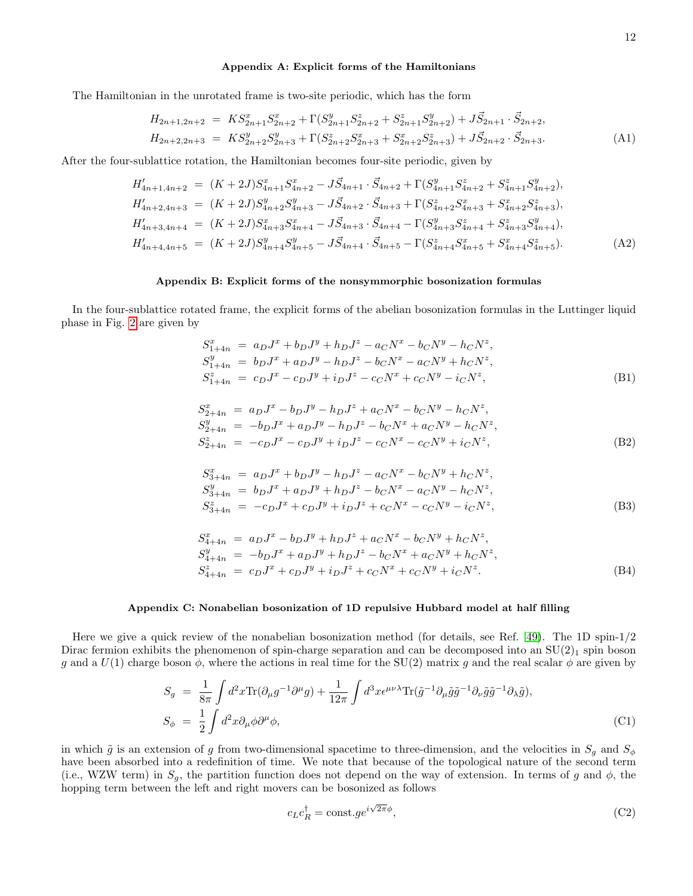# <span id="page-11-0"></span>Appendix A: Explicit forms of the Hamiltonians

The Hamiltonian in the unrotated frame is two-site periodic, which has the form

$$
H_{2n+1,2n+2} = KS_{2n+1}^{x} S_{2n+2}^{x} + \Gamma(S_{2n+1}^{y} S_{2n+2}^{z} + S_{2n+1}^{z} S_{2n+2}^{y}) + J\vec{S}_{2n+1} \cdot \vec{S}_{2n+2},
$$
  
\n
$$
H_{2n+2,2n+3} = KS_{2n+2}^{y} S_{2n+3}^{y} + \Gamma(S_{2n+2}^{z} S_{2n+3}^{x} + S_{2n+2}^{x} S_{2n+3}^{z}) + J\vec{S}_{2n+2} \cdot \vec{S}_{2n+3}.
$$
\n(A1)

After the four-sublattice rotation, the Hamiltonian becomes four-site periodic, given by

$$
H'_{4n+1,4n+2} = (K+2J)S_{4n+1}^x S_{4n+2}^x - J\vec{S}_{4n+1} \cdot \vec{S}_{4n+2} + \Gamma(S_{4n+1}^y S_{4n+2}^z + S_{4n+1}^z S_{4n+2}^y),
$$
  
\n
$$
H'_{4n+2,4n+3} = (K+2J)S_{4n+2}^y S_{4n+3}^y - J\vec{S}_{4n+2} \cdot \vec{S}_{4n+3} + \Gamma(S_{4n+2}^z S_{4n+3}^x + S_{4n+2}^x S_{4n+3}^z),
$$
  
\n
$$
H'_{4n+3,4n+4} = (K+2J)S_{4n+3}^x S_{4n+4}^x - J\vec{S}_{4n+3} \cdot \vec{S}_{4n+4} - \Gamma(S_{4n+3}^y S_{4n+4}^x + S_{4n+3}^z S_{4n+4}^y),
$$
  
\n
$$
H'_{4n+4,4n+5} = (K+2J)S_{4n+4}^y S_{4n+5}^y - J\vec{S}_{4n+4} \cdot \vec{S}_{4n+5} - \Gamma(S_{4n+4}^z S_{4n+5}^x + S_{4n+4}^x S_{4n+5}^z).
$$
  
\n(A2)

# <span id="page-11-1"></span>Appendix B: Explicit forms of the nonsymmorphic bosonization formulas

In the four-sublattice rotated frame, the explicit forms of the abelian bosonization formulas in the Luttinger liquid phase in Fig. [2](#page-1-2) are given by

$$
S_{1+4n}^{x} = a_D J^x + b_D J^y + h_D J^z - a_C N^x - b_C N^y - h_C N^z,
$$
  
\n
$$
S_{1+4n}^{y} = b_D J^x + a_D J^y - h_D J^z - b_C N^x - a_C N^y + h_C N^z,
$$
  
\n
$$
S_{1+4n}^{z} = c_D J^x - c_D J^y + i_D J^z - c_C N^x + c_C N^y - i_C N^z,
$$
\n(B1)

$$
S_{2+4n}^{x} = a_{D}J^{x} - b_{D}J^{y} - h_{D}J^{z} + a_{C}N^{x} - b_{C}N^{y} - h_{C}N^{z},
$$
  
\n
$$
S_{2+4n}^{y} = -b_{D}J^{x} + a_{D}J^{y} - h_{D}J^{z} - b_{C}N^{x} + a_{C}N^{y} - h_{C}N^{z},
$$
  
\n
$$
S_{2+4n}^{z} = -c_{D}J^{x} - c_{D}J^{y} + i_{D}J^{z} - c_{C}N^{x} - c_{C}N^{y} + i_{C}N^{z},
$$
\n(B2)

$$
S_{3+4n}^{x} = a_{D}J^{x} + b_{D}J^{y} - h_{D}J^{z} - a_{C}N^{x} - b_{C}N^{y} + h_{C}N^{z},
$$
  
\n
$$
S_{3+4n}^{y} = b_{D}J^{x} + a_{D}J^{y} + h_{D}J^{z} - b_{C}N^{x} - a_{C}N^{y} - h_{C}N^{z},
$$
  
\n
$$
S_{3+4n}^{z} = -c_{D}J^{x} + c_{D}J^{y} + i_{D}J^{z} + c_{C}N^{x} - c_{C}N^{y} - i_{C}N^{z},
$$
\n(B3)

$$
S_{4+4n}^{x} = a_D J^x - b_D J^y + h_D J^z + a_C N^x - b_C N^y + h_C N^z,
$$
  
\n
$$
S_{4+4n}^{y} = -b_D J^x + a_D J^y + h_D J^z - b_C N^x + a_C N^y + h_C N^z,
$$
  
\n
$$
S_{4+4n}^{z} = c_D J^x + c_D J^y + i_D J^z + c_C N^x + c_C N^y + i_C N^z.
$$
\n(B4)

## <span id="page-11-2"></span>Appendix C: Nonabelian bosonization of 1D repulsive Hubbard model at half filling

Here we give a quick review of the nonabelian bosonization method (for details, see Ref. [49\)](#page-19-1). The 1D spin-1/2 Dirac fermion exhibits the phenomenon of spin-charge separation and can be decomposed into an  $SU(2)_1$  spin boson g and a  $U(1)$  charge boson  $\phi$ , where the actions in real time for the SU(2) matrix g and the real scalar  $\phi$  are given by

$$
S_g = \frac{1}{8\pi} \int d^2x \text{Tr}(\partial_\mu g^{-1} \partial^\mu g) + \frac{1}{12\pi} \int d^3x \epsilon^{\mu\nu\lambda} \text{Tr}(\tilde{g}^{-1} \partial_\mu \tilde{g} \tilde{g}^{-1} \partial_\nu \tilde{g} \tilde{g}^{-1} \partial_\lambda \tilde{g}),
$$
  
\n
$$
S_\phi = \frac{1}{2} \int d^2x \partial_\mu \phi \partial^\mu \phi,
$$
\n(C1)

in which  $\tilde{g}$  is an extension of g from two-dimensional spacetime to three-dimension, and the velocities in  $S_q$  and  $S_\phi$ have been absorbed into a redefinition of time. We note that because of the topological nature of the second term (i.e., WZW term) in  $S_q$ , the partition function does not depend on the way of extension. In terms of g and  $\phi$ , the hopping term between the left and right movers can be bosonized as follows

$$
c_L c_R^{\dagger} = \text{const.} ge^{i\sqrt{2\pi}\phi},\tag{C2}
$$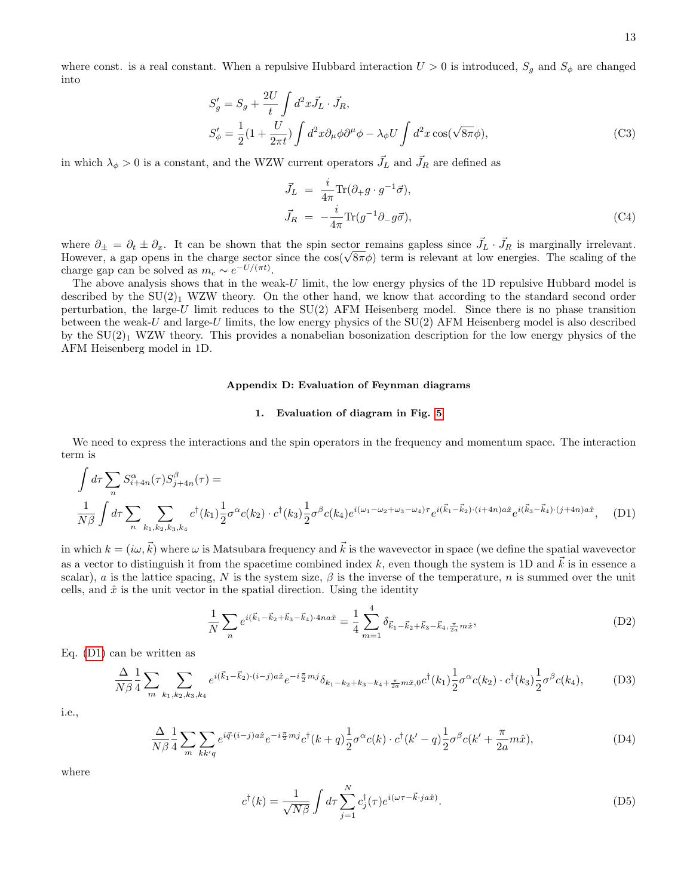where const. is a real constant. When a repulsive Hubbard interaction  $U > 0$  is introduced,  $S_g$  and  $S_\phi$  are changed into

$$
S'_{g} = S_{g} + \frac{2U}{t} \int d^{2}x \vec{J}_{L} \cdot \vec{J}_{R},
$$
  
\n
$$
S'_{\phi} = \frac{1}{2} (1 + \frac{U}{2\pi t}) \int d^{2}x \partial_{\mu} \phi \partial^{\mu} \phi - \lambda_{\phi} U \int d^{2}x \cos(\sqrt{8\pi} \phi),
$$
\n(C3)

in which  $\lambda_{\phi} > 0$  is a constant, and the WZW current operators  $\vec{J}_L$  and  $\vec{J}_R$  are defined as

$$
\vec{J}_L = \frac{i}{4\pi} \text{Tr}(\partial_+ g \cdot g^{-1} \vec{\sigma}),
$$
  
\n
$$
\vec{J}_R = -\frac{i}{4\pi} \text{Tr}(g^{-1} \partial_- g \vec{\sigma}),
$$
\n(C4)

where  $\partial_{\pm} = \partial_t \pm \partial_x$ . It can be shown that the spin sector remains gapless since  $\vec{J}_L \cdot \vec{J}_R$  is marginally irrelevant.<br>However, a gap opens in the charge sector since the  $\cos(\sqrt{8\pi}\phi)$  term is relevant at low ener charge gap can be solved as  $m_c \sim e^{-U/(\pi t)}$ .

The above analysis shows that in the weak-U limit, the low energy physics of the 1D repulsive Hubbard model is described by the  $SU(2)_1$  WZW theory. On the other hand, we know that according to the standard second order perturbation, the large-U limit reduces to the SU(2) AFM Heisenberg model. Since there is no phase transition between the weak-U and large-U limits, the low energy physics of the  $SU(2)$  AFM Heisenberg model is also described by the  $SU(2)_1$  WZW theory. This provides a nonabelian bosonization description for the low energy physics of the AFM Heisenberg model in 1D.

# Appendix D: Evaluation of Feynman diagrams

### <span id="page-12-1"></span><span id="page-12-0"></span>1. Evaluation of diagram in Fig. [5](#page-4-1)

We need to express the interactions and the spin operators in the frequency and momentum space. The interaction term is

$$
\int d\tau \sum_{n} S_{i+4n}^{\alpha}(\tau) S_{j+4n}^{\beta}(\tau) =
$$
\n
$$
\frac{1}{N\beta} \int d\tau \sum_{n} \sum_{k_1, k_2, k_3, k_4} c^{\dagger}(k_1) \frac{1}{2} \sigma^{\alpha} c(k_2) \cdot c^{\dagger}(k_3) \frac{1}{2} \sigma^{\beta} c(k_4) e^{i(\omega_1 - \omega_2 + \omega_3 - \omega_4)\tau} e^{i(\vec{k}_1 - \vec{k}_2) \cdot (i + 4n)a\hat{x}} e^{i(\vec{k}_3 - \vec{k}_4) \cdot (j + 4n)a\hat{x}}, \quad (D1)
$$

in which  $k = (i\omega, \vec{k})$  where  $\omega$  is Matsubara frequency and  $\vec{k}$  is the wavevector in space (we define the spatial wavevector as a vector to distinguish it from the spacetime combined index k, even though the system is 1D and  $\vec{k}$  is in essence a scalar), a is the lattice spacing, N is the system size,  $\beta$  is the inverse of the temperature, n is summed over the unit cells, and  $\hat{x}$  is the unit vector in the spatial direction. Using the identity

$$
\frac{1}{N} \sum_{n} e^{i(\vec{k}_1 - \vec{k}_2 + \vec{k}_3 - \vec{k}_4) \cdot 4na\hat{x}} = \frac{1}{4} \sum_{m=1}^{4} \delta_{\vec{k}_1 - \vec{k}_2 + \vec{k}_3 - \vec{k}_4, \frac{\pi}{2a}m\hat{x}},
$$
(D2)

Eq. [\(D1\)](#page-12-1) can be written as

$$
\frac{\Delta}{N\beta} \frac{1}{4} \sum_{m} \sum_{k_1, k_2, k_3, k_4} e^{i(\vec{k}_1 - \vec{k}_2) \cdot (i - j)a\hat{x}} e^{-i\frac{\pi}{2}m j} \delta_{k_1 - k_2 + k_3 - k_4 + \frac{\pi}{2a}m\hat{x}, 0} c^{\dagger}(k_1) \frac{1}{2} \sigma^{\alpha} c(k_2) \cdot c^{\dagger}(k_3) \frac{1}{2} \sigma^{\beta} c(k_4), \tag{D3}
$$

i.e.,

$$
\frac{\Delta}{N\beta} \frac{1}{4} \sum_{m} \sum_{kk'q} e^{i\vec{q}\cdot(\vec{i}-\vec{j})a\hat{x}} e^{-i\frac{\pi}{2}m\vec{j}} c^{\dagger}(k+q) \frac{1}{2} \sigma^{\alpha} c(k) \cdot c^{\dagger}(k'-q) \frac{1}{2} \sigma^{\beta} c(k' + \frac{\pi}{2a}m\hat{x}), \tag{D4}
$$

where

$$
c^{\dagger}(k) = \frac{1}{\sqrt{N\beta}} \int d\tau \sum_{j=1}^{N} c_j^{\dagger}(\tau) e^{i(\omega \tau - \vec{k} \cdot j a \hat{x})}.
$$
 (D5)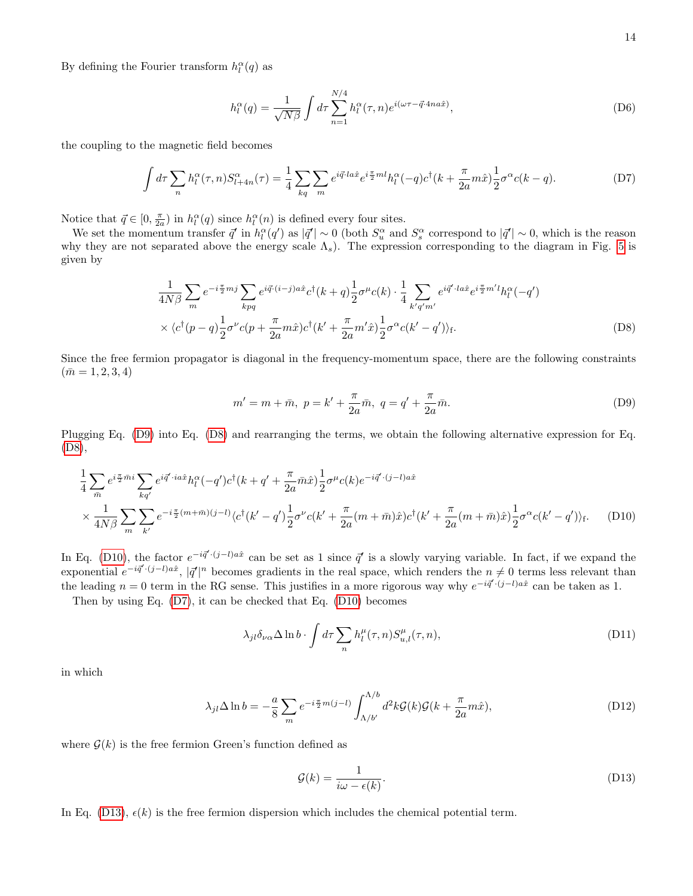By defining the Fourier transform  $h_l^{\alpha}(q)$  as

<span id="page-13-3"></span>
$$
h_l^{\alpha}(q) = \frac{1}{\sqrt{N\beta}} \int d\tau \sum_{n=1}^{N/4} h_l^{\alpha}(\tau, n) e^{i(\omega \tau - \vec{q} \cdot 4na\hat{x})}, \tag{D6}
$$

the coupling to the magnetic field becomes

$$
\int d\tau \sum_{n} h_l^{\alpha}(\tau, n) S_{l+4n}^{\alpha}(\tau) = \frac{1}{4} \sum_{kq} \sum_{m} e^{i\vec{q} \cdot l a \hat{x}} e^{i\frac{\pi}{2}ml} h_l^{\alpha}(-q) c^{\dagger} (k + \frac{\pi}{2a} m \hat{x}) \frac{1}{2} \sigma^{\alpha} c(k - q). \tag{D7}
$$

Notice that  $\vec{q} \in [0, \frac{\pi}{2a})$  in  $h_l^{\alpha}(q)$  since  $h_l^{\alpha}(n)$  is defined every four sites.

We set the momentum transfer  $\vec{q}'$  in  $h_l^{\alpha}(q')$  as  $|\vec{q}'| \sim 0$  (both  $S_u^{\alpha}$  and  $S_s^{\alpha}$  correspond to  $|\vec{q}'| \sim 0$ , which is the reason why they are not separated above the energy scale  $\Lambda_s$ ). The expression corresponding to the diagram in Fig. [5](#page-4-1) is given by

$$
\frac{1}{4N\beta} \sum_{m} e^{-i\frac{\pi}{2}mj} \sum_{kpq} e^{i\vec{q}\cdot(i-j)a\hat{x}} c^{\dagger}(k+q) \frac{1}{2} \sigma^{\mu}c(k) \cdot \frac{1}{4} \sum_{k'q'm'} e^{i\vec{q}'\cdot la\hat{x}} e^{i\frac{\pi}{2}m'l} h_{l}^{\alpha}(-q')
$$
  
 
$$
\times \langle c^{\dagger}(p-q) \frac{1}{2} \sigma^{\nu}c(p+\frac{\pi}{2a}m\hat{x}) c^{\dagger}(k'+\frac{\pi}{2a}m'\hat{x}) \frac{1}{2} \sigma^{\alpha}c(k'-q') \rangle_{\text{f}}.
$$
 (D8)

Since the free fermion propagator is diagonal in the frequency-momentum space, there are the following constraints  $(m = 1, 2, 3, 4)$ 

<span id="page-13-1"></span><span id="page-13-0"></span>
$$
m' = m + \bar{m}, \ p = k' + \frac{\pi}{2a}\bar{m}, \ q = q' + \frac{\pi}{2a}\bar{m}.
$$
 (D9)

Plugging Eq. [\(D9\)](#page-13-0) into Eq. [\(D8\)](#page-13-1) and rearranging the terms, we obtain the following alternative expression for Eq. [\(D8\)](#page-13-1),

$$
\frac{1}{4} \sum_{\bar{m}} e^{i\frac{\pi}{2}\bar{m}i} \sum_{kq'} e^{i\vec{q'} \cdot ia\hat{x}} h_l^{\alpha}(-q')c^{\dagger}(k+q'+\frac{\pi}{2a}\bar{m}\hat{x})\frac{1}{2}\sigma^{\mu}c(k)e^{-i\vec{q'} \cdot(j-l)a\hat{x}} \times \frac{1}{4N\beta} \sum_{m} \sum_{k'} e^{-i\frac{\pi}{2}(m+\bar{m})(j-l)} \langle c^{\dagger}(k'-q')\frac{1}{2}\sigma^{\nu}c(k'+\frac{\pi}{2a}(m+\bar{m})\hat{x})c^{\dagger}(k'+\frac{\pi}{2a}(m+\bar{m})\hat{x})\frac{1}{2}\sigma^{\alpha}c(k'-q')\rangle_{\mathrm{f}}.
$$
 (D10)

In Eq. [\(D10\)](#page-13-2), the factor  $e^{-i\vec{q}' \cdot (j-l)a\hat{x}}$  can be set as 1 since  $\vec{q}'$  is a slowly varying variable. In fact, if we expand the exponential  $e^{-i\vec{q}'\cdot(j-l)a\hat{x}}$ ,  $|\vec{q}'|^n$  becomes gradients in the real space, which renders the  $n \neq 0$  terms less relevant than the leading  $n = 0$  term in the RG sense. This justifies in a more rigorous way why  $e^{-i\vec{q}' \cdot (j-l)a\hat{x}}$  can be taken as 1.

Then by using Eq. [\(D7\)](#page-13-3), it can be checked that Eq. [\(D10\)](#page-13-2) becomes

<span id="page-13-2"></span>
$$
\lambda_{jl}\delta_{\nu\alpha}\Delta\ln b \cdot \int d\tau \sum_{n} h_l^{\mu}(\tau, n) S_{u,l}^{\mu}(\tau, n), \tag{D11}
$$

in which

$$
\lambda_{jl}\Delta \ln b = -\frac{a}{8} \sum_{m} e^{-i\frac{\pi}{2}m(j-l)} \int_{\Lambda/b'}^{\Lambda/b} d^2k \mathcal{G}(k)\mathcal{G}(k+\frac{\pi}{2a}m\hat{x}), \tag{D12}
$$

where  $\mathcal{G}(k)$  is the free fermion Green's function defined as

<span id="page-13-4"></span>
$$
\mathcal{G}(k) = \frac{1}{i\omega - \epsilon(k)}.\tag{D13}
$$

In Eq. [\(D13\)](#page-13-4),  $\epsilon(k)$  is the free fermion dispersion which includes the chemical potential term.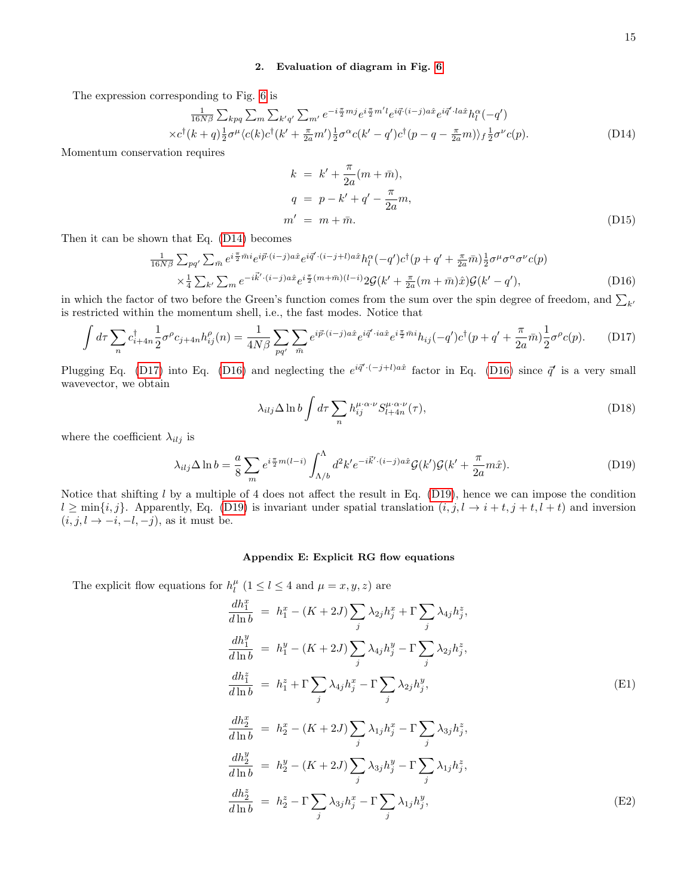# <span id="page-14-1"></span>2. Evaluation of diagram in Fig. [6](#page-4-2)

The expression corresponding to Fig. [6](#page-4-2) is

<span id="page-14-2"></span>
$$
\frac{1}{16N\beta} \sum_{kpq} \sum_{m} \sum_{k'q'} \sum_{m'} e^{-i\frac{\pi}{2}mj} e^{i\frac{\pi}{2}m'} e^{i\frac{\pi}{2}m'} e^{i\frac{\pi}{2}(i-j)a\hat{x}} e^{i\vec{q'}\cdot la\hat{x}} h_l^{\alpha}(-q')
$$

$$
\times c^{\dagger} (k+q) \frac{1}{2} \sigma^{\mu} \langle c(k) c^{\dagger} (k' + \frac{\pi}{2a} m') \frac{1}{2} \sigma^{\alpha} c(k'-q') c^{\dagger} (p-q - \frac{\pi}{2a} m) \rangle_f \frac{1}{2} \sigma^{\nu} c(p). \tag{D14}
$$

Momentum conservation requires

$$
k = k' + \frac{\pi}{2a}(m + \bar{m}),
$$
  
\n
$$
q = p - k' + q' - \frac{\pi}{2a}m,
$$
  
\n
$$
m' = m + \bar{m}.
$$
\n(D15)

Then it can be shown that Eq. [\(D14\)](#page-14-2) becomes

<span id="page-14-4"></span>
$$
\frac{1}{16N\beta} \sum_{pq'} \sum_{\bar{m}} e^{i\frac{\pi}{2}\bar{m}i} e^{i\vec{p}\cdot(i-j)a\hat{x}} e^{i\vec{q}\cdot(i-j+l)a\hat{x}} h_l^{\alpha}(-q')c^{\dagger}(p+q'+\frac{\pi}{2a}\bar{m}) \frac{1}{2}\sigma^{\mu}\sigma^{\alpha}\sigma^{\nu}c(p) \times \frac{1}{4} \sum_{k'} \sum_{m} e^{-i\vec{k}'\cdot(i-j)a\hat{x}} e^{i\frac{\pi}{2}(m+\bar{m})(l-i)} 2\mathcal{G}(k'+\frac{\pi}{2a}(m+\bar{m})\hat{x}) \mathcal{G}(k'-q'),
$$
\n(D16)

in which the factor of two before the Green's function comes from the sum over the spin degree of freedom, and  $\sum_{k'}$ is restricted within the momentum shell, i.e., the fast modes. Notice that

$$
\int d\tau \sum_{n} c_{i+4n}^{\dagger} \frac{1}{2} \sigma^{\rho} c_{j+4n} h_{ij}^{\rho}(n) = \frac{1}{4N\beta} \sum_{pq'} \sum_{\bar{m}} e^{i\vec{p}\cdot(i-j)a\hat{x}} e^{i\vec{q'}\cdot ia\hat{x}} e^{i\frac{\pi}{2}\bar{m}i} h_{ij}(-q') c^{\dagger} (p+q'+\frac{\pi}{2a}\bar{m}) \frac{1}{2} \sigma^{\rho} c(p). \tag{D17}
$$

Plugging Eq. [\(D17\)](#page-14-3) into Eq. [\(D16\)](#page-14-4) and neglecting the  $e^{i\vec{q}\cdot(-j+l)a\hat{x}}$  factor in Eq. (D16) since  $\vec{q}'$  is a very small wavevector, we obtain

<span id="page-14-3"></span>
$$
\lambda_{ilj} \Delta \ln b \int d\tau \sum_{n} h_{ij}^{\mu \cdot \alpha \cdot \nu} S_{l+4n}^{\mu \cdot \alpha \cdot \nu}(\tau), \tag{D18}
$$

where the coefficient  $\lambda_{ilj}$  is

<span id="page-14-5"></span>
$$
\lambda_{ilj}\Delta \ln b = \frac{a}{8}\sum_{m} e^{i\frac{\pi}{2}m(l-i)} \int_{\Lambda/b}^{\Lambda} d^2k' e^{-i\vec{k}'\cdot(i-j)a\hat{x}} \mathcal{G}(k')\mathcal{G}(k' + \frac{\pi}{2a}m\hat{x}). \tag{D19}
$$

Notice that shifting  $l$  by a multiple of 4 does not affect the result in Eq. [\(D19\)](#page-14-5), hence we can impose the condition  $l \ge \min\{i, j\}$ . Apparently, Eq. [\(D19\)](#page-14-5) is invariant under spatial translation  $(i, j, l \rightarrow i+t, j+t, l+t)$  and inversion  $(i, j, l \rightarrow -i, -l, -j)$ , as it must be.

## <span id="page-14-0"></span>Appendix E: Explicit RG flow equations

The explicit flow equations for  $h_l^{\mu}$  ( $1 \leq l \leq 4$  and  $\mu = x, y, z$ ) are

$$
\frac{dh_1^x}{d\ln b} = h_1^x - (K + 2J) \sum_j \lambda_{2j} h_j^x + \Gamma \sum_j \lambda_{4j} h_j^z,
$$
\n
$$
\frac{dh_1^y}{d\ln b} = h_1^y - (K + 2J) \sum_j \lambda_{4j} h_j^y - \Gamma \sum_j \lambda_{2j} h_j^z,
$$
\n
$$
\frac{dh_1^z}{d\ln b} = h_1^z + \Gamma \sum_j \lambda_{4j} h_j^x - \Gamma \sum_j \lambda_{2j} h_j^y,
$$
\n
$$
\frac{dh_2^x}{d\ln b} = h_2^x - (K + 2J) \sum_j \lambda_{1j} h_j^x - \Gamma \sum_j \lambda_{3j} h_j^z,
$$
\n
$$
\frac{dh_2^y}{d\ln b} = h_2^y - (K + 2J) \sum_j \lambda_{3j} h_j^y - \Gamma \sum_j \lambda_{1j} h_j^z,
$$
\n
$$
\frac{dh_2^z}{d\ln b} = h_2^z - \Gamma \sum_j \lambda_{3j} h_j^x - \Gamma \sum_j \lambda_{1j} h_j^y,
$$
\n(E2)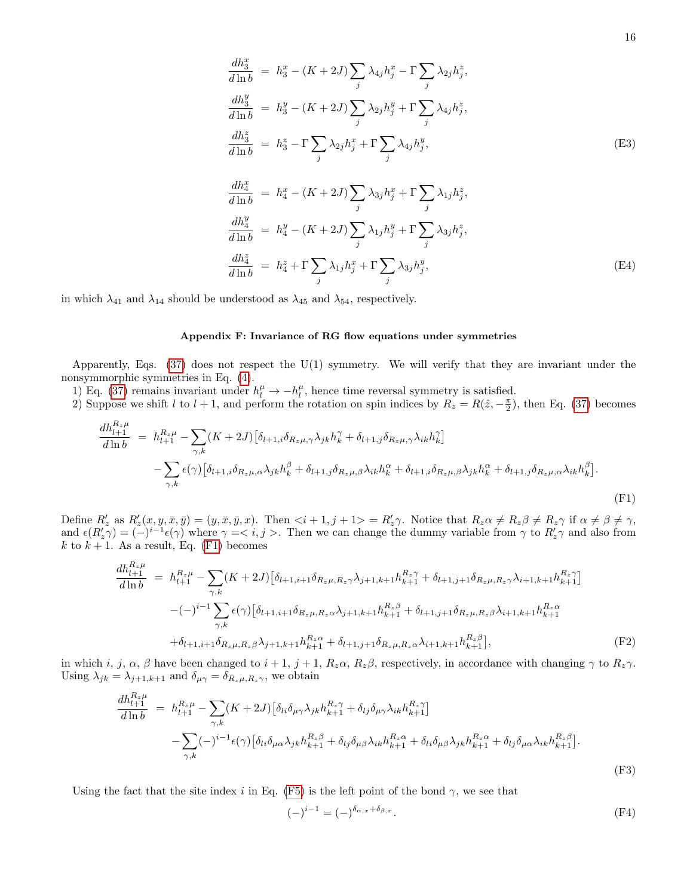$$
\frac{dh_3^x}{d\ln b} = h_3^x - (K + 2J) \sum_j \lambda_{4j} h_j^x - \Gamma \sum_j \lambda_{2j} h_j^z,
$$
\n
$$
\frac{dh_3^y}{d\ln b} = h_3^y - (K + 2J) \sum_j \lambda_{2j} h_j^y + \Gamma \sum_j \lambda_{4j} h_j^z,
$$
\n
$$
\frac{dh_3^z}{d\ln b} = h_3^z - \Gamma \sum_j \lambda_{2j} h_j^x + \Gamma \sum_j \lambda_{4j} h_j^y,
$$
\n(E3)\n
$$
\frac{dh_4^x}{d\ln b} = h_4^x - (K + 2J) \sum_j \lambda_{3j} h_j^x + \Gamma \sum_j \lambda_{1j} h_j^z,
$$
\n
$$
\frac{dh_4^y}{d\ln b} = h_4^y - (K + 2J) \sum_j \lambda_{1j} h_j^y + \Gamma \sum_j \lambda_{3j} h_j^z,
$$
\n
$$
\frac{dh_4^z}{d\ln b} = h_4^z + \Gamma \sum_j \lambda_{1j} h_j^x + \Gamma \sum_j \lambda_{3j} h_j^y,
$$
\n(E4)

in which  $\lambda_{41}$  and  $\lambda_{14}$  should be understood as  $\lambda_{45}$  and  $\lambda_{54}$ , respectively.

# <span id="page-15-0"></span>Appendix F: Invariance of RG flow equations under symmetries

Apparently, Eqs.  $(37)$  does not respect the U(1) symmetry. We will verify that they are invariant under the nonsymmorphic symmetries in Eq. [\(4\)](#page-2-1).

1) Eq. [\(37\)](#page-7-1) remains invariant under  $h_l^{\mu} \to -h_l^{\mu}$ , hence time reversal symmetry is satisfied.

2) Suppose we shift l to  $l + 1$ , and perform the rotation on spin indices by  $R_z = R(\hat{z}, -\frac{\pi}{2})$ , then Eq. [\(37\)](#page-7-1) becomes

<span id="page-15-1"></span>
$$
\frac{dh_{l+1}^{R_z\mu}}{d\ln b} = h_{l+1}^{R_z\mu} - \sum_{\gamma,k} (K+2J) \left[ \delta_{l+1,i} \delta_{R_z\mu,\gamma} \lambda_{jk} h_k^{\gamma} + \delta_{l+1,j} \delta_{R_z\mu,\gamma} \lambda_{ik} h_k^{\gamma} \right]
$$

$$
- \sum_{\gamma,k} \epsilon(\gamma) \left[ \delta_{l+1,i} \delta_{R_z\mu,\alpha} \lambda_{jk} h_k^{\beta} + \delta_{l+1,j} \delta_{R_z\mu,\beta} \lambda_{ik} h_k^{\alpha} + \delta_{l+1,i} \delta_{R_z\mu,\beta} \lambda_{jk} h_k^{\alpha} + \delta_{l+1,j} \delta_{R_z\mu,\alpha} \lambda_{ik} h_k^{\beta} \right].
$$
\n(F1)

Define  $R'_z$  as  $R'_z(x, y, \bar{x}, \bar{y}) = (y, \bar{x}, \bar{y}, x)$ . Then  $\langle i + 1, j + 1 \rangle = R'_z \gamma$ . Notice that  $R_z \alpha \neq R_z \beta \neq R_z \gamma$  if  $\alpha \neq \beta \neq \gamma$ , and  $\epsilon(R'_z\gamma) = (-)^{i-1} \epsilon(\gamma)$  where  $\gamma = 0$ ,  $j > 0$ . Then we can change the dummy variable from  $\gamma$  to  $R'_z\gamma$  and also from k to  $k + 1$ . As a result, Eq. [\(F1\)](#page-15-1) becomes

$$
\frac{dh_{l+1}^{R_z\mu}}{d\ln b} = h_{l+1}^{R_z\mu} - \sum_{\gamma,k} (K+2J) \left[ \delta_{l+1,i+1} \delta_{R_z\mu, R_z\gamma} \lambda_{j+1,k+1} h_{k+1}^{R_z\gamma} + \delta_{l+1,j+1} \delta_{R_z\mu, R_z\gamma} \lambda_{i+1,k+1} h_{k+1}^{R_z\gamma} \right]
$$

$$
-(-)^{i-1} \sum_{\gamma,k} \epsilon(\gamma) \left[ \delta_{l+1,i+1} \delta_{R_z\mu, R_z\alpha} \lambda_{j+1,k+1} h_{k+1}^{R_z\beta} + \delta_{l+1,j+1} \delta_{R_z\mu, R_z\beta} \lambda_{i+1,k+1} h_{k+1}^{R_z\alpha} + \delta_{l+1,i+1} \delta_{R_z\mu, R_z\beta} \lambda_{i+1,k+1} h_{k+1}^{R_z\alpha} \right], \tag{F2}
$$

in which i, j,  $\alpha$ ,  $\beta$  have been changed to  $i + 1$ ,  $j + 1$ ,  $R_z\alpha$ ,  $R_z\beta$ , respectively, in accordance with changing  $\gamma$  to  $R_z\gamma$ . Using  $\lambda_{jk} = \lambda_{j+1,k+1}$  and  $\delta_{\mu\gamma} = \delta_{R_z\mu,R_z\gamma}$ , we obtain

$$
\frac{dh_{l+1}^{R_z\mu}}{d\ln b} = h_{l+1}^{R_z\mu} - \sum_{\gamma,k} (K+2J) \left[ \delta_{li} \delta_{\mu\gamma} \lambda_{jk} h_{k+1}^{R_z\gamma} + \delta_{lj} \delta_{\mu\gamma} \lambda_{ik} h_{k+1}^{R_z\gamma} \right]
$$

$$
- \sum_{\gamma,k} (-)^{i-1} \epsilon(\gamma) \left[ \delta_{li} \delta_{\mu\alpha} \lambda_{jk} h_{k+1}^{R_z\beta} + \delta_{lj} \delta_{\mu\beta} \lambda_{ik} h_{k+1}^{R_z\alpha} + \delta_{li} \delta_{\mu\beta} \lambda_{jk} h_{k+1}^{R_z\alpha} + \delta_{lj} \delta_{\mu\alpha} \lambda_{ik} h_{k+1}^{R_z\beta} \right].
$$
\n(F3)

Using the fact that the site index i in Eq. [\(F5\)](#page-16-0) is the left point of the bond  $\gamma$ , we see that

$$
(-)^{i-1} = (-)^{\delta_{\alpha,x} + \delta_{\beta,x}}.
$$
 (F4)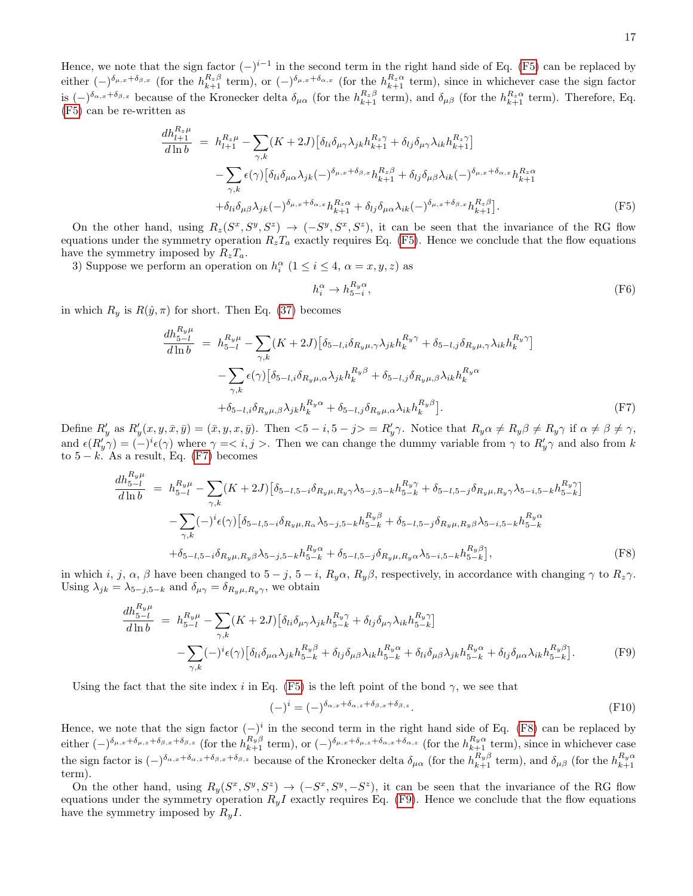Hence, we note that the sign factor  $(-)^{i-1}$  in the second term in the right hand side of Eq. [\(F5\)](#page-16-0) can be replaced by either  $(-)^{\delta_{\mu,x}+\delta_{\beta,x}}$  (for the  $h_{k+1}^{R_z\beta}$  term), or  $(-)^{\delta_{\mu,x}+\delta_{\alpha,x}}$  (for the  $h_{k+1}^{R_z\alpha}$  term), since in whichever case the sign factor is  $(-)^{\delta_{\alpha,x}+\delta_{\beta,x}}$  because of the Kronecker delta  $\delta_{\mu\alpha}$  (for the  $h_{k+1}^{R_z\beta}$  term), and  $\delta_{\mu\beta}$  (for the  $h_{k+1}^{R_z\alpha}$  term). Therefore, Eq. [\(F5\)](#page-16-0) can be re-written as

<span id="page-16-0"></span>
$$
\frac{dh_{l+1}^{R_z\mu}}{d\ln b} = h_{l+1}^{R_z\mu} - \sum_{\gamma,k} (K+2J) \left[ \delta_{li} \delta_{\mu\gamma} \lambda_{jk} h_{k+1}^{R_z\gamma} + \delta_{lj} \delta_{\mu\gamma} \lambda_{ik} h_{k+1}^{R_z\gamma} \right]
$$

$$
- \sum_{\gamma,k} \epsilon(\gamma) \left[ \delta_{li} \delta_{\mu\alpha} \lambda_{jk} (-\delta^{\delta_{\mu,x} + \delta_{\beta,x}} h_{k+1}^{R_z\beta} + \delta_{lj} \delta_{\mu\beta} \lambda_{ik} (-\delta^{\delta_{\mu,x} + \delta_{\alpha,x}} h_{k+1}^{R_z\alpha} + \delta_{li} \delta_{\mu\beta} \lambda_{jk} (-\delta^{\delta_{\mu,x} + \delta_{\alpha,x}} h_{k+1}^{R_z\alpha} + \delta_{lj} \delta_{\mu\alpha} \lambda_{ik} (-\delta^{\delta_{\mu,x} + \delta_{\beta,x}} h_{k+1}^{R_z\beta}]. \tag{F5}
$$

On the other hand, using  $R_z(S^x, S^y, S^z) \rightarrow (-S^y, S^x, S^z)$ , it can be seen that the invariance of the RG flow equations under the symmetry operation  $R_zT_a$  exactly requires Eq. [\(F5\)](#page-16-0). Hence we conclude that the flow equations have the symmetry imposed by  $R_zT_a$ .

3) Suppose we perform an operation on  $h_i^{\alpha}$   $(1 \leq i \leq 4, \alpha = x, y, z)$  as

$$
h_i^{\alpha} \to h_{5-i}^{R_y \alpha},\tag{F6}
$$

in which  $R_y$  is  $R(\hat{y}, \pi)$  for short. Then Eq. [\(37\)](#page-7-1) becomes

<span id="page-16-1"></span>
$$
\frac{dh_{5-l}^{R_y\mu}}{d\ln b} = h_{5-l}^{R_y\mu} - \sum_{\gamma,k} (K+2J) \left[ \delta_{5-l,i} \delta_{R_y\mu,\gamma} \lambda_{jk} h_k^{R_y\gamma} + \delta_{5-l,j} \delta_{R_y\mu,\gamma} \lambda_{ik} h_k^{R_y\gamma} \right]
$$

$$
- \sum_{\gamma,k} \epsilon(\gamma) \left[ \delta_{5-l,i} \delta_{R_y\mu,\alpha} \lambda_{jk} h_k^{R_y\beta} + \delta_{5-l,j} \delta_{R_y\mu,\beta} \lambda_{ik} h_k^{R_y\alpha} + \delta_{5-l,i} \delta_{R_y\mu,\beta} \lambda_{ik} h_k^{R_y\alpha} \right].
$$

$$
(F7)
$$

Define  $R'_y$  as  $R'_y(x, y, \bar{x}, \bar{y}) = (\bar{x}, y, x, \bar{y})$ . Then  $\langle 5 - i, 5 - j \rangle = R'_y \gamma$ . Notice that  $R_y \alpha \neq R_y \beta \neq R_y \gamma$  if  $\alpha \neq \beta \neq \gamma$ , and  $\epsilon(R'_y\gamma) = (-)^i \epsilon(\gamma)$  where  $\gamma = 1, j > 1$ . Then we can change the dummy variable from  $\gamma$  to  $R'_y\gamma$  and also from k to  $5 - k$ . As a result, Eq. [\(F7\)](#page-16-1) becomes

<span id="page-16-2"></span>
$$
\frac{dh_{5-l}^{R_y\mu}}{d\ln b} = h_{5-l}^{R_y\mu} - \sum_{\gamma,k} (K+2J) \left[ \delta_{5-l,5-i} \delta_{R_y\mu, R_y\gamma} \lambda_{5-j,5-k} h_{5-k}^{R_y\gamma} + \delta_{5-l,5-j} \delta_{R_y\mu, R_y\gamma} \lambda_{5-i,5-k} h_{5-k}^{R_y\gamma} \right]
$$

$$
- \sum_{\gamma,k} (-)^i \epsilon(\gamma) \left[ \delta_{5-l,5-i} \delta_{R_y\mu, R_\alpha} \lambda_{5-j,5-k} h_{5-k}^{R_y\beta} + \delta_{5-l,5-j} \delta_{R_y\mu, R_y\beta} \lambda_{5-i,5-k} h_{5-k}^{R_y\alpha} + \delta_{5-l,5-i} \delta_{R_y\mu, R_y\beta} \lambda_{5-i,5-k} h_{5-k}^{R_y\beta} \right], \tag{F8}
$$

in which i, j,  $\alpha$ ,  $\beta$  have been changed to  $5 - j$ ,  $5 - i$ ,  $R_y \alpha$ ,  $R_y \beta$ , respectively, in accordance with changing  $\gamma$  to  $R_z \gamma$ . Using  $\lambda_{jk} = \lambda_{5-j,5-k}$  and  $\delta_{\mu\gamma} = \delta_{R_y\mu, R_y\gamma}$ , we obtain

<span id="page-16-3"></span>
$$
\frac{dh_{5-l}^{R_y\mu}}{d\ln b} = h_{5-l}^{R_y\mu} - \sum_{\gamma,k} (K+2J) \left[ \delta_{li} \delta_{\mu\gamma} \lambda_{jk} h_{5-k}^{R_y\gamma} + \delta_{lj} \delta_{\mu\gamma} \lambda_{ik} h_{5-k}^{R_y\gamma} \right] \n- \sum_{\gamma,k} (-)^i \epsilon(\gamma) \left[ \delta_{li} \delta_{\mu\alpha} \lambda_{jk} h_{5-k}^{R_y\beta} + \delta_{lj} \delta_{\mu\beta} \lambda_{ik} h_{5-k}^{R_y\alpha} + \delta_{li} \delta_{\mu\beta} \lambda_{jk} h_{5-k}^{R_y\alpha} + \delta_{lj} \delta_{\mu\alpha} \lambda_{ik} h_{5-k}^{R_y\beta} \right].
$$
\n(F9)

Using the fact that the site index i in Eq. [\(F5\)](#page-16-0) is the left point of the bond  $\gamma$ , we see that

$$
(-)^{i} = (-)^{\delta_{\alpha,x} + \delta_{\alpha,z} + \delta_{\beta,x} + \delta_{\beta,z}}.
$$
\n(F10)

Hence, we note that the sign factor  $(-)^i$  in the second term in the right hand side of Eq. [\(F8\)](#page-16-2) can be replaced by either  $(-)^{\delta_{\mu,x}+\delta_{\mu,z}+\delta_{\beta,x}+\delta_{\beta,z}}$  (for the  $h_{k+1}^{R_y\beta}$  term), or  $(-)^{\delta_{\mu,x}+\delta_{\mu,z}+\delta_{\alpha,x}+\delta_{\alpha,z}}$  (for the  $h_{k+1}^{R_y\alpha}$  term), since in whichever case the sign factor is  $(-)^{\delta_{\alpha,x}+\delta_{\alpha,z}+\delta_{\beta,x}+\delta_{\beta,z}}$  because of the Kronecker delta  $\delta_{\mu\alpha}$  (for the  $h_{k+1}^{R_y\beta}$  term), and  $\delta_{\mu\beta}$  (for the  $h_{k+1}^{R_y\alpha}$ term).

On the other hand, using  $R_y(S^x, S^y, S^z) \rightarrow (-S^x, S^y, -S^z)$ , it can be seen that the invariance of the RG flow equations under the symmetry operation  $R_yI$  exactly requires Eq. [\(F9\)](#page-16-3). Hence we conclude that the flow equations have the symmetry imposed by  $R_yI$ .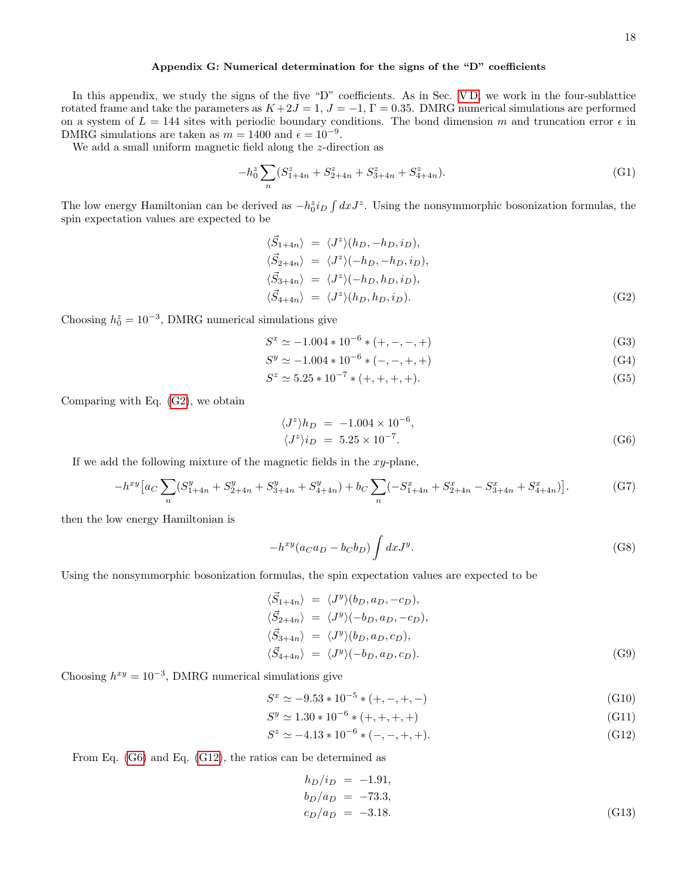# <span id="page-17-0"></span>Appendix G: Numerical determination for the signs of the "D" coefficients

In this appendix, we study the signs of the five "D" coefficients. As in Sec. VD, we work in the four-sublattice rotated frame and take the parameters as  $K+2J=1$ ,  $J=-1$ ,  $\Gamma=0.35$ . DMRG numerical simulations are performed on a system of  $L = 144$  sites with periodic boundary conditions. The bond dimension m and truncation error  $\epsilon$  in DMRG simulations are taken as  $m = 1400$  and  $\epsilon = 10^{-9}$ .

We add a small uniform magnetic field along the z-direction as

$$
-h_0^z \sum_n (S_{1+4n}^z + S_{2+4n}^z + S_{3+4n}^z + S_{4+4n}^z). \tag{G1}
$$

The low energy Hamiltonian can be derived as  $-h_0^z i_D \int dx J^z$ . Using the nonsymmorphic bosonization formulas, the spin expectation values are expected to be

<span id="page-17-1"></span>
$$
\langle \vec{S}_{1+4n} \rangle = \langle J^z \rangle (h_D, -h_D, i_D),
$$
  
\n
$$
\langle \vec{S}_{2+4n} \rangle = \langle J^z \rangle (-h_D, -h_D, i_D),
$$
  
\n
$$
\langle \vec{S}_{3+4n} \rangle = \langle J^z \rangle (-h_D, h_D, i_D),
$$
  
\n
$$
\langle \vec{S}_{4+4n} \rangle = \langle J^z \rangle (h_D, h_D, i_D).
$$
 (G2)

Choosing  $h_0^z = 10^{-3}$ , DMRG numerical simulations give

$$
S^x \simeq -1.004 \times 10^{-6} \times (+, -, -, +)
$$
\n(G3)

$$
S^y \simeq -1.004 \times 10^{-6} \times (-,-,+,+)
$$
\n(G4)

$$
S^z \simeq 5.25 \times 10^{-7} \times (+, +, +, +). \tag{G5}
$$

Comparing with Eq. [\(G2\)](#page-17-1), we obtain

<span id="page-17-2"></span>
$$
\langle J^z \rangle h_D = -1.004 \times 10^{-6},
$$
  

$$
\langle J^z \rangle i_D = 5.25 \times 10^{-7}.
$$
 (G6)

If we add the following mixture of the magnetic fields in the  $xy$ -plane,

$$
-h^{xy}\left[a_C\sum_n\left(S_{1+4n}^y + S_{2+4n}^y + S_{3+4n}^y + S_{4+4n}^y\right) + b_C\sum_n\left(-S_{1+4n}^x + S_{2+4n}^x - S_{3+4n}^x + S_{4+4n}^x\right)\right].
$$
 (G7)

then the low energy Hamiltonian is

$$
-h^{xy}(a_Ca_D - b_Cb_D)\int dx J^y.
$$
\n(G8)

Using the nonsymmorphic bosonization formulas, the spin expectation values are expected to be

$$
\langle \vec{S}_{1+4n} \rangle = \langle J^y \rangle (b_D, a_D, -c_D),
$$
  
\n
$$
\langle \vec{S}_{2+4n} \rangle = \langle J^y \rangle (-b_D, a_D, -c_D),
$$
  
\n
$$
\langle \vec{S}_{3+4n} \rangle = \langle J^y \rangle (b_D, a_D, c_D),
$$
  
\n
$$
\langle \vec{S}_{4+4n} \rangle = \langle J^y \rangle (-b_D, a_D, c_D).
$$
 (G9)

Choosing  $h^{xy} = 10^{-3}$ , DMRG numerical simulations give

$$
S^x \simeq -9.53 \times 10^{-5} \times (+, -, +, -) \tag{G10}
$$

$$
S^y \simeq 1.30 \times 10^{-6} \times (+, +, +, +)
$$
\n(G11)

$$
S^z \simeq -4.13 \times 10^{-6} \times (-,-,+,+). \tag{G12}
$$

From Eq. [\(G6\)](#page-17-2) and Eq. [\(G12\)](#page-17-3), the ratios can be determined as

<span id="page-17-4"></span><span id="page-17-3"></span>
$$
h_D/i_D = -1.91,
$$
  
\n
$$
b_D/a_D = -73.3,
$$
  
\n
$$
c_D/a_D = -3.18.
$$
\n(G13)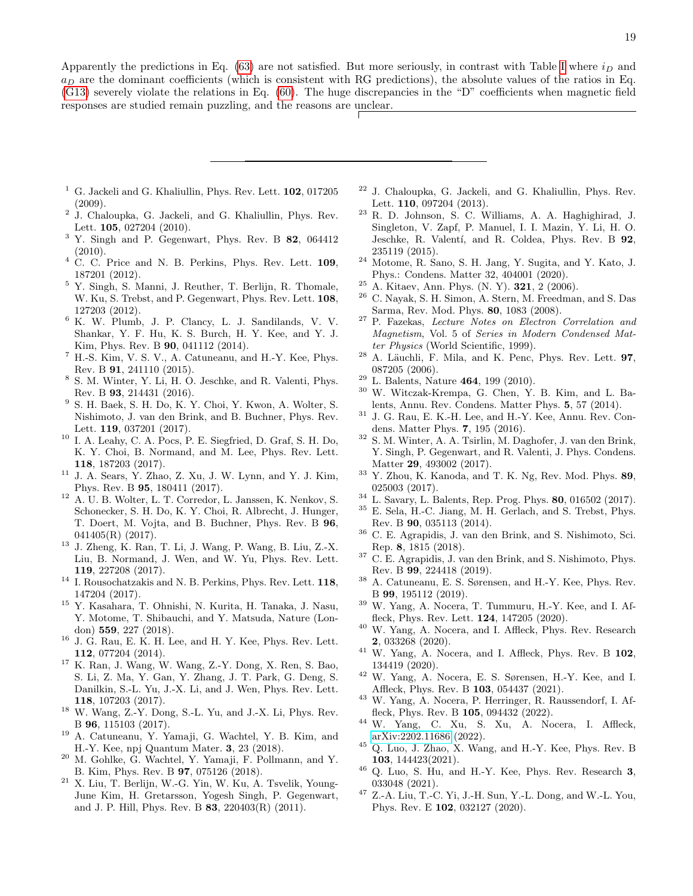Apparently the predictions in Eq. [\(63\)](#page-9-7) are not satisfied. But more seriously, in contrast with Table [I](#page-9-4) where  $i_D$  and  $a_D$  are the dominant coefficients (which is consistent with RG predictions), the absolute values of the ratios in Eq. [\(G13\)](#page-17-4) severely violate the relations in Eq. [\(60\)](#page-9-5). The huge discrepancies in the "D" coefficients when magnetic field responses are studied remain puzzling, and the reasons are unclear.

- 
- <span id="page-18-0"></span> $<sup>1</sup>$  G. Jackeli and G. Khaliullin, Phys. Rev. Lett. **102**, 017205</sup> (2009).
- <span id="page-18-8"></span>2 J. Chaloupka, G. Jackeli, and G. Khaliullin, Phys. Rev. Lett. 105, 027204 (2010).
- $3$  Y. Singh and P. Gegenwart, Phys. Rev. B 82, 064412  $(2010).$
- $4$  C. C. Price and N. B. Perkins, Phys. Rev. Lett. 109, 187201 (2012).
- <sup>5</sup> Y. Singh, S. Manni, J. Reuther, T. Berlijn, R. Thomale, W. Ku, S. Trebst, and P. Gegenwart, Phys. Rev. Lett. 108, 127203 (2012).
- <sup>6</sup> K. W. Plumb, J. P. Clancy, L. J. Sandilands, V. V. Shankar, Y. F. Hu, K. S. Burch, H. Y. Kee, and Y. J. Kim, Phys. Rev. B 90, 041112 (2014).
- <sup>7</sup> H.-S. Kim, V. S. V., A. Catuneanu, and H.-Y. Kee, Phys. Rev. B 91, 241110 (2015).
- <sup>8</sup> S. M. Winter, Y. Li, H. O. Jeschke, and R. Valenti, Phys. Rev. B 93, 214431 (2016).
- <sup>9</sup> S. H. Baek, S. H. Do, K. Y. Choi, Y. Kwon, A. Wolter, S. Nishimoto, J. van den Brink, and B. Buchner, Phys. Rev. Lett. 119, 037201 (2017).
- $^{10}\,$  I. A. Leahy, C. A. Pocs, P. E. Siegfried, D. Graf, S. H. Do, K. Y. Choi, B. Normand, and M. Lee, Phys. Rev. Lett. 118, 187203 (2017).
- $11$  J. A. Sears, Y. Zhao, Z. Xu, J. W. Lynn, and Y. J. Kim, Phys. Rev. B 95, 180411 (2017).
- <sup>12</sup> A. U. B. Wolter, L. T. Corredor, L. Janssen, K. Nenkov, S. Schonecker, S. H. Do, K. Y. Choi, R. Albrecht, J. Hunger, T. Doert, M. Vojta, and B. Buchner, Phys. Rev. B 96, 041405(R) (2017).
- <sup>13</sup> J. Zheng, K. Ran, T. Li, J. Wang, P. Wang, B. Liu, Z.-X. Liu, B. Normand, J. Wen, and W. Yu, Phys. Rev. Lett. 119, 227208 (2017).
- <sup>14</sup> I. Rousochatzakis and N. B. Perkins, Phys. Rev. Lett. **118**, 147204 (2017).
- <sup>15</sup> Y. Kasahara, T. Ohnishi, N. Kurita, H. Tanaka, J. Nasu, Y. Motome, T. Shibauchi, and Y. Matsuda, Nature (London) 559, 227 (2018).
- <span id="page-18-9"></span> $^{16}$  J. G. Rau, E. K. H. Lee, and H. Y. Kee, Phys. Rev. Lett. 112, 077204 (2014).
- <sup>17</sup> K. Ran, J. Wang, W. Wang, Z.-Y. Dong, X. Ren, S. Bao, S. Li, Z. Ma, Y. Gan, Y. Zhang, J. T. Park, G. Deng, S. Danilkin, S.-L. Yu, J.-X. Li, and J. Wen, Phys. Rev. Lett. 118, 107203 (2017).
- <sup>18</sup> W. Wang, Z.-Y. Dong, S.-L. Yu, and J.-X. Li, Phys. Rev. B 96, 115103 (2017).
- <sup>19</sup> A. Catuneanu, Y. Yamaji, G. Wachtel, Y. B. Kim, and H.-Y. Kee, npj Quantum Mater. 3, 23 (2018).
- <span id="page-18-10"></span>M. Gohlke, G. Wachtel, Y. Yamaji, F. Pollmann, and Y. B. Kim, Phys. Rev. B 97, 075126 (2018).
- <sup>21</sup> X. Liu, T. Berlijn, W.-G. Yin, W. Ku, A. Tsvelik, Young-June Kim, H. Gretarsson, Yogesh Singh, P. Gegenwart, and J. P. Hill, Phys. Rev. B 83, 220403(R) (2011).
- <sup>22</sup> J. Chaloupka, G. Jackeli, and G. Khaliullin, Phys. Rev. Lett. 110, 097204 (2013).
- <sup>23</sup> R. D. Johnson, S. C. Williams, A. A. Haghighirad, J. Singleton, V. Zapf, P. Manuel, I. I. Mazin, Y. Li, H. O. Jeschke, R. Valentí, and R. Coldea, Phys. Rev. B 92, 235119 (2015).
- <span id="page-18-1"></span><sup>24</sup> Motome, R. Sano, S. H. Jang, Y. Sugita, and Y. Kato, J. Phys.: Condens. Matter 32, 404001 (2020).
- <span id="page-18-2"></span><sup>25</sup> A. Kitaev, Ann. Phys. (N. Y). 321, 2 (2006).
- <span id="page-18-3"></span><sup>26</sup> C. Nayak, S. H. Simon, A. Stern, M. Freedman, and S. Das Sarma, Rev. Mod. Phys. 80, 1083 (2008).
- <span id="page-18-4"></span><sup>27</sup> P. Fazekas, Lecture Notes on Electron Correlation and Magnetism, Vol. 5 of Series in Modern Condensed Matter Physics (World Scientific, 1999).
- <span id="page-18-5"></span> $28$  A. Läuchli, F. Mila, and K. Penc, Phys. Rev. Lett. **97**, 087205 (2006).
- <span id="page-18-6"></span><sup>29</sup> L. Balents, Nature 464, 199 (2010).
- <sup>30</sup> W. Witczak-Krempa, G. Chen, Y. B. Kim, and L. Balents, Annu. Rev. Condens. Matter Phys. 5, 57 (2014).
- <sup>31</sup> J. G. Rau, E. K.-H. Lee, and H.-Y. Kee, Annu. Rev. Condens. Matter Phys. 7, 195 (2016).
- <sup>32</sup> S. M. Winter, A. A. Tsirlin, M. Daghofer, J. van den Brink, Y. Singh, P. Gegenwart, and R. Valenti, J. Phys. Condens. Matter 29, 493002 (2017).
- $33$  Y. Zhou, K. Kanoda, and T. K. Ng, Rev. Mod. Phys. 89, 025003 (2017).
- <span id="page-18-7"></span><sup>34</sup> L. Savary, L. Balents, Rep. Prog. Phys. 80, 016502 (2017).
- <span id="page-18-11"></span><sup>35</sup> E. Sela, H.-C. Jiang, M. H. Gerlach, and S. Trebst, Phys. Rev. B 90, 035113 (2014).
- <sup>36</sup> C. E. Agrapidis, J. van den Brink, and S. Nishimoto, Sci. Rep. 8, 1815 (2018).
- <sup>37</sup> C. E. Agrapidis, J. van den Brink, and S. Nishimoto, Phys. Rev. B 99, 224418 (2019).
- <sup>38</sup> A. Catuneanu, E. S. Sørensen, and H.-Y. Kee, Phys. Rev. B 99, 195112 (2019).
- <span id="page-18-12"></span><sup>39</sup> W. Yang, A. Nocera, T. Tummuru, H.-Y. Kee, and I. Affleck, Phys. Rev. Lett. 124, 147205 (2020).
- <span id="page-18-13"></span>W. Yang, A. Nocera, and I. Affleck, Phys. Rev. Research 2, 033268 (2020).
- <span id="page-18-16"></span><sup>41</sup> W. Yang, A. Nocera, and I. Affleck, Phys. Rev. B 102, 134419 (2020).
- <span id="page-18-17"></span><sup>42</sup> W. Yang, A. Nocera, E. S. Sørensen, H.-Y. Kee, and I. Affleck, Phys. Rev. B 103, 054437 (2021).
- <span id="page-18-14"></span><sup>43</sup> W. Yang, A. Nocera, P. Herringer, R. Raussendorf, I. Affleck, Phys. Rev. B 105, 094432 (2022).
- <span id="page-18-15"></span><sup>44</sup> W. Yang, C. Xu, S. Xu, A. Nocera, I. Affleck, [arXiv:2202.11686](http://arxiv.org/abs/2202.11686) (2022).
- $45$  Q. Luo, J. Zhao, X. Wang, and H.-Y. Kee, Phys. Rev. B 103, 144423(2021).
- <sup>46</sup> Q. Luo, S. Hu, and H.-Y. Kee, Phys. Rev. Research 3, 033048 (2021).
- <sup>47</sup> Z.-A. Liu, T.-C. Yi, J.-H. Sun, Y.-L. Dong, and W.-L. You, Phys. Rev. E 102, 032127 (2020).